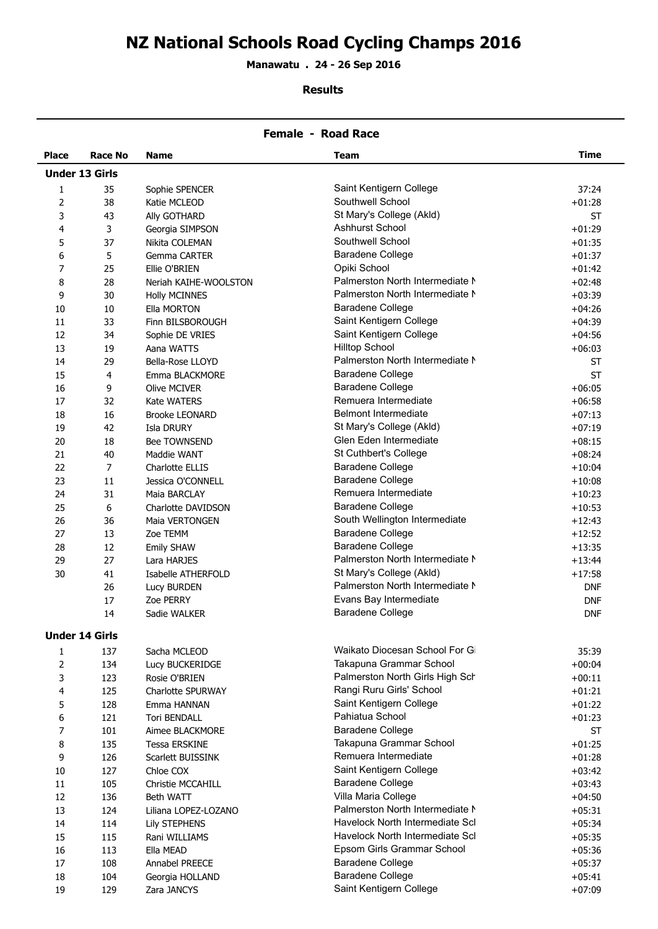# **NZ National Schools Road Cycling Champs 2016**

**Manawatu . 24 - 26 Sep 2016**

#### **Results**

| <b>Female - Road Race</b> |                       |                          |                                 |             |  |
|---------------------------|-----------------------|--------------------------|---------------------------------|-------------|--|
| <b>Place</b>              | <b>Race No</b>        | <b>Name</b>              | Team                            | <b>Time</b> |  |
|                           | <b>Under 13 Girls</b> |                          |                                 |             |  |
| 1                         | 35                    | Sophie SPENCER           | Saint Kentigern College         | 37:24       |  |
| 2                         | 38                    | Katie MCLEOD             | Southwell School                | $+01:28$    |  |
| 3                         | 43                    | Ally GOTHARD             | St Mary's College (Akld)        | <b>ST</b>   |  |
| 4                         | 3                     | Georgia SIMPSON          | <b>Ashhurst School</b>          | $+01:29$    |  |
| 5                         | 37                    | Nikita COLEMAN           | Southwell School                | $+01:35$    |  |
| 6                         | 5                     | Gemma CARTER             | <b>Baradene College</b>         | $+01:37$    |  |
| 7                         | 25                    | Ellie O'BRIEN            | Opiki School                    | $+01:42$    |  |
| 8                         | 28                    | Neriah KAIHE-WOOLSTON    | Palmerston North Intermediate N | $+02:48$    |  |
| 9                         | 30                    | <b>Holly MCINNES</b>     | Palmerston North Intermediate N | $+03:39$    |  |
| 10                        | $10\,$                | Ella MORTON              | <b>Baradene College</b>         | $+04:26$    |  |
| 11                        | 33                    | Finn BILSBOROUGH         | Saint Kentigern College         | $+04:39$    |  |
| 12                        | 34                    | Sophie DE VRIES          | Saint Kentigern College         | $+04:56$    |  |
| 13                        | 19                    | Aana WATTS               | <b>Hilltop School</b>           | $+06:03$    |  |
| 14                        | 29                    | Bella-Rose LLOYD         | Palmerston North Intermediate N | <b>ST</b>   |  |
| 15                        | 4                     | Emma BLACKMORE           | <b>Baradene College</b>         | <b>ST</b>   |  |
| 16                        | 9                     | <b>Olive MCIVER</b>      | <b>Baradene College</b>         | $+06:05$    |  |
| 17                        | 32                    | Kate WATERS              | Remuera Intermediate            | $+06:58$    |  |
| 18                        | 16                    | <b>Brooke LEONARD</b>    | <b>Belmont Intermediate</b>     | $+07:13$    |  |
| 19                        | 42                    | Isla DRURY               | St Mary's College (Akld)        | $+07:19$    |  |
| 20                        | 18                    | Bee TOWNSEND             | Glen Eden Intermediate          | $+08:15$    |  |
| 21                        | 40                    | Maddie WANT              | St Cuthbert's College           | $+08:24$    |  |
| 22                        | 7                     | Charlotte ELLIS          | <b>Baradene College</b>         | $+10:04$    |  |
| 23                        | 11                    | Jessica O'CONNELL        | <b>Baradene College</b>         | $+10:08$    |  |
| 24                        | 31                    | Maia BARCLAY             | Remuera Intermediate            | $+10:23$    |  |
| 25                        | 6                     | Charlotte DAVIDSON       | <b>Baradene College</b>         | $+10:53$    |  |
| 26                        | 36                    | Maia VERTONGEN           | South Wellington Intermediate   | $+12:43$    |  |
| 27                        | 13                    | Zoe TEMM                 | <b>Baradene College</b>         | $+12:52$    |  |
| 28                        | 12                    | <b>Emily SHAW</b>        | <b>Baradene College</b>         | $+13:35$    |  |
| 29                        | 27                    | Lara HARJES              | Palmerston North Intermediate N | $+13:44$    |  |
| 30                        | 41                    | Isabelle ATHERFOLD       | St Mary's College (Akld)        | $+17:58$    |  |
|                           | 26                    | Lucy BURDEN              | Palmerston North Intermediate N | <b>DNF</b>  |  |
|                           | 17                    | Zoe PERRY                | Evans Bay Intermediate          | <b>DNF</b>  |  |
|                           | 14                    | Sadie WALKER             | <b>Baradene College</b>         | <b>DNF</b>  |  |
|                           |                       |                          |                                 |             |  |
|                           | <b>Under 14 Girls</b> |                          |                                 |             |  |
| 1                         | 137                   | Sacha MCLEOD             | Waikato Diocesan School For Gi  | 35:39       |  |
| $\overline{2}$            | 134                   | Lucy BUCKERIDGE          | Takapuna Grammar School         | $+00:04$    |  |
| 3                         | 123                   | Rosie O'BRIEN            | Palmerston North Girls High Sch | $+00:11$    |  |
| 4                         | 125                   | <b>Charlotte SPURWAY</b> | Rangi Ruru Girls' School        | $+01:21$    |  |
| 5                         | 128                   | Emma HANNAN              | Saint Kentigern College         | $+01:22$    |  |
| 6                         | 121                   | <b>Tori BENDALL</b>      | Pahiatua School                 | $+01:23$    |  |
| 7                         | 101                   | Aimee BLACKMORE          | <b>Baradene College</b>         | <b>ST</b>   |  |
| 8                         | 135                   | <b>Tessa ERSKINE</b>     | Takapuna Grammar School         | $+01:25$    |  |
| 9                         | 126                   | Scarlett BUISSINK        | Remuera Intermediate            | $+01:28$    |  |
| 10                        | 127                   | Chloe COX                | Saint Kentigern College         | $+03:42$    |  |
| 11                        | 105                   | Christie MCCAHILL        | <b>Baradene College</b>         | $+03:43$    |  |
| 12                        | 136                   | Beth WATT                | Villa Maria College             | $+04:50$    |  |
| 13                        | 124                   | Liliana LOPEZ-LOZANO     | Palmerston North Intermediate N | $+05:31$    |  |
| 14                        | 114                   | <b>Lily STEPHENS</b>     | Havelock North Intermediate Scl | $+05:34$    |  |
| 15                        | 115                   | Rani WILLIAMS            | Havelock North Intermediate Scl | $+05:35$    |  |
| 16                        | 113                   | Ella MEAD                | Epsom Girls Grammar School      | $+05:36$    |  |
| 17                        | 108                   | Annabel PREECE           | <b>Baradene College</b>         | $+05:37$    |  |
| 18                        | 104                   | Georgia HOLLAND          | <b>Baradene College</b>         | $+05:41$    |  |
| 19                        | 129                   | Zara JANCYS              | Saint Kentigern College         | $+07:09$    |  |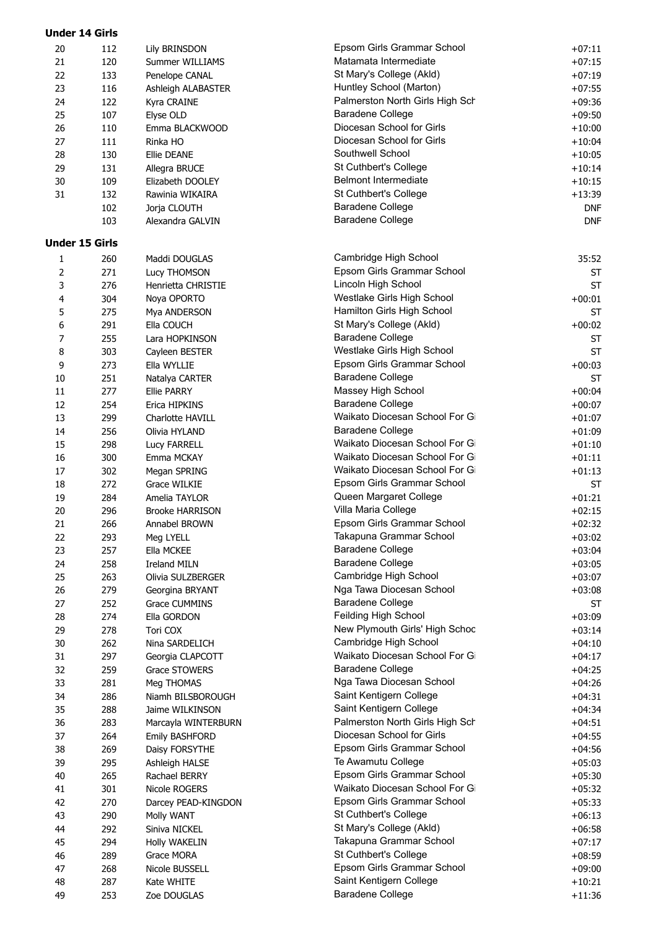| 112 | <b>Lily BRINSDON</b>                                                                                                                                                                                                                                                                                                        | Epsom Girls Grammar School                                                                                                                                                                                                                                                                                                                                                                                                                                                                                                                                                                                                                                                                                          | $+07:11$                                                                                                                                                                                                                                                                                                                                                                                                                                                                                                                                                                                                                                                                                                                                                                                                                                                                                                                                                                                                                                                                                                                                                                                                                                                                                          |
|-----|-----------------------------------------------------------------------------------------------------------------------------------------------------------------------------------------------------------------------------------------------------------------------------------------------------------------------------|---------------------------------------------------------------------------------------------------------------------------------------------------------------------------------------------------------------------------------------------------------------------------------------------------------------------------------------------------------------------------------------------------------------------------------------------------------------------------------------------------------------------------------------------------------------------------------------------------------------------------------------------------------------------------------------------------------------------|---------------------------------------------------------------------------------------------------------------------------------------------------------------------------------------------------------------------------------------------------------------------------------------------------------------------------------------------------------------------------------------------------------------------------------------------------------------------------------------------------------------------------------------------------------------------------------------------------------------------------------------------------------------------------------------------------------------------------------------------------------------------------------------------------------------------------------------------------------------------------------------------------------------------------------------------------------------------------------------------------------------------------------------------------------------------------------------------------------------------------------------------------------------------------------------------------------------------------------------------------------------------------------------------------|
| 120 | Summer WILLIAMS                                                                                                                                                                                                                                                                                                             |                                                                                                                                                                                                                                                                                                                                                                                                                                                                                                                                                                                                                                                                                                                     | $+07:15$                                                                                                                                                                                                                                                                                                                                                                                                                                                                                                                                                                                                                                                                                                                                                                                                                                                                                                                                                                                                                                                                                                                                                                                                                                                                                          |
| 133 | Penelope CANAL                                                                                                                                                                                                                                                                                                              | St Mary's College (Akld)                                                                                                                                                                                                                                                                                                                                                                                                                                                                                                                                                                                                                                                                                            | $+07:19$                                                                                                                                                                                                                                                                                                                                                                                                                                                                                                                                                                                                                                                                                                                                                                                                                                                                                                                                                                                                                                                                                                                                                                                                                                                                                          |
| 116 | Ashleigh ALABASTER                                                                                                                                                                                                                                                                                                          | Huntley School (Marton)                                                                                                                                                                                                                                                                                                                                                                                                                                                                                                                                                                                                                                                                                             | $+07:55$                                                                                                                                                                                                                                                                                                                                                                                                                                                                                                                                                                                                                                                                                                                                                                                                                                                                                                                                                                                                                                                                                                                                                                                                                                                                                          |
| 122 | Kyra CRAINE                                                                                                                                                                                                                                                                                                                 | Palmerston North Girls High Sch                                                                                                                                                                                                                                                                                                                                                                                                                                                                                                                                                                                                                                                                                     | $+09:36$                                                                                                                                                                                                                                                                                                                                                                                                                                                                                                                                                                                                                                                                                                                                                                                                                                                                                                                                                                                                                                                                                                                                                                                                                                                                                          |
|     |                                                                                                                                                                                                                                                                                                                             | Baradene College                                                                                                                                                                                                                                                                                                                                                                                                                                                                                                                                                                                                                                                                                                    | $+09:50$                                                                                                                                                                                                                                                                                                                                                                                                                                                                                                                                                                                                                                                                                                                                                                                                                                                                                                                                                                                                                                                                                                                                                                                                                                                                                          |
|     |                                                                                                                                                                                                                                                                                                                             |                                                                                                                                                                                                                                                                                                                                                                                                                                                                                                                                                                                                                                                                                                                     | $+10:00$                                                                                                                                                                                                                                                                                                                                                                                                                                                                                                                                                                                                                                                                                                                                                                                                                                                                                                                                                                                                                                                                                                                                                                                                                                                                                          |
|     |                                                                                                                                                                                                                                                                                                                             |                                                                                                                                                                                                                                                                                                                                                                                                                                                                                                                                                                                                                                                                                                                     | $+10:04$                                                                                                                                                                                                                                                                                                                                                                                                                                                                                                                                                                                                                                                                                                                                                                                                                                                                                                                                                                                                                                                                                                                                                                                                                                                                                          |
|     |                                                                                                                                                                                                                                                                                                                             |                                                                                                                                                                                                                                                                                                                                                                                                                                                                                                                                                                                                                                                                                                                     | $+10:05$                                                                                                                                                                                                                                                                                                                                                                                                                                                                                                                                                                                                                                                                                                                                                                                                                                                                                                                                                                                                                                                                                                                                                                                                                                                                                          |
|     |                                                                                                                                                                                                                                                                                                                             |                                                                                                                                                                                                                                                                                                                                                                                                                                                                                                                                                                                                                                                                                                                     | $+10:14$                                                                                                                                                                                                                                                                                                                                                                                                                                                                                                                                                                                                                                                                                                                                                                                                                                                                                                                                                                                                                                                                                                                                                                                                                                                                                          |
|     |                                                                                                                                                                                                                                                                                                                             |                                                                                                                                                                                                                                                                                                                                                                                                                                                                                                                                                                                                                                                                                                                     | $+10:15$                                                                                                                                                                                                                                                                                                                                                                                                                                                                                                                                                                                                                                                                                                                                                                                                                                                                                                                                                                                                                                                                                                                                                                                                                                                                                          |
|     |                                                                                                                                                                                                                                                                                                                             |                                                                                                                                                                                                                                                                                                                                                                                                                                                                                                                                                                                                                                                                                                                     |                                                                                                                                                                                                                                                                                                                                                                                                                                                                                                                                                                                                                                                                                                                                                                                                                                                                                                                                                                                                                                                                                                                                                                                                                                                                                                   |
|     |                                                                                                                                                                                                                                                                                                                             |                                                                                                                                                                                                                                                                                                                                                                                                                                                                                                                                                                                                                                                                                                                     | $+13:39$                                                                                                                                                                                                                                                                                                                                                                                                                                                                                                                                                                                                                                                                                                                                                                                                                                                                                                                                                                                                                                                                                                                                                                                                                                                                                          |
|     |                                                                                                                                                                                                                                                                                                                             |                                                                                                                                                                                                                                                                                                                                                                                                                                                                                                                                                                                                                                                                                                                     | <b>DNF</b>                                                                                                                                                                                                                                                                                                                                                                                                                                                                                                                                                                                                                                                                                                                                                                                                                                                                                                                                                                                                                                                                                                                                                                                                                                                                                        |
|     |                                                                                                                                                                                                                                                                                                                             |                                                                                                                                                                                                                                                                                                                                                                                                                                                                                                                                                                                                                                                                                                                     | <b>DNF</b>                                                                                                                                                                                                                                                                                                                                                                                                                                                                                                                                                                                                                                                                                                                                                                                                                                                                                                                                                                                                                                                                                                                                                                                                                                                                                        |
|     |                                                                                                                                                                                                                                                                                                                             |                                                                                                                                                                                                                                                                                                                                                                                                                                                                                                                                                                                                                                                                                                                     |                                                                                                                                                                                                                                                                                                                                                                                                                                                                                                                                                                                                                                                                                                                                                                                                                                                                                                                                                                                                                                                                                                                                                                                                                                                                                                   |
|     |                                                                                                                                                                                                                                                                                                                             |                                                                                                                                                                                                                                                                                                                                                                                                                                                                                                                                                                                                                                                                                                                     | 35:52                                                                                                                                                                                                                                                                                                                                                                                                                                                                                                                                                                                                                                                                                                                                                                                                                                                                                                                                                                                                                                                                                                                                                                                                                                                                                             |
|     |                                                                                                                                                                                                                                                                                                                             |                                                                                                                                                                                                                                                                                                                                                                                                                                                                                                                                                                                                                                                                                                                     |                                                                                                                                                                                                                                                                                                                                                                                                                                                                                                                                                                                                                                                                                                                                                                                                                                                                                                                                                                                                                                                                                                                                                                                                                                                                                                   |
|     |                                                                                                                                                                                                                                                                                                                             |                                                                                                                                                                                                                                                                                                                                                                                                                                                                                                                                                                                                                                                                                                                     | <b>ST</b>                                                                                                                                                                                                                                                                                                                                                                                                                                                                                                                                                                                                                                                                                                                                                                                                                                                                                                                                                                                                                                                                                                                                                                                                                                                                                         |
|     |                                                                                                                                                                                                                                                                                                                             |                                                                                                                                                                                                                                                                                                                                                                                                                                                                                                                                                                                                                                                                                                                     | <b>ST</b>                                                                                                                                                                                                                                                                                                                                                                                                                                                                                                                                                                                                                                                                                                                                                                                                                                                                                                                                                                                                                                                                                                                                                                                                                                                                                         |
|     |                                                                                                                                                                                                                                                                                                                             |                                                                                                                                                                                                                                                                                                                                                                                                                                                                                                                                                                                                                                                                                                                     | $+00:01$                                                                                                                                                                                                                                                                                                                                                                                                                                                                                                                                                                                                                                                                                                                                                                                                                                                                                                                                                                                                                                                                                                                                                                                                                                                                                          |
|     |                                                                                                                                                                                                                                                                                                                             |                                                                                                                                                                                                                                                                                                                                                                                                                                                                                                                                                                                                                                                                                                                     | <b>ST</b>                                                                                                                                                                                                                                                                                                                                                                                                                                                                                                                                                                                                                                                                                                                                                                                                                                                                                                                                                                                                                                                                                                                                                                                                                                                                                         |
|     |                                                                                                                                                                                                                                                                                                                             |                                                                                                                                                                                                                                                                                                                                                                                                                                                                                                                                                                                                                                                                                                                     | $+00:02$                                                                                                                                                                                                                                                                                                                                                                                                                                                                                                                                                                                                                                                                                                                                                                                                                                                                                                                                                                                                                                                                                                                                                                                                                                                                                          |
|     | Lara HOPKINSON                                                                                                                                                                                                                                                                                                              |                                                                                                                                                                                                                                                                                                                                                                                                                                                                                                                                                                                                                                                                                                                     | <b>ST</b>                                                                                                                                                                                                                                                                                                                                                                                                                                                                                                                                                                                                                                                                                                                                                                                                                                                                                                                                                                                                                                                                                                                                                                                                                                                                                         |
|     | Cayleen BESTER                                                                                                                                                                                                                                                                                                              |                                                                                                                                                                                                                                                                                                                                                                                                                                                                                                                                                                                                                                                                                                                     | <b>ST</b>                                                                                                                                                                                                                                                                                                                                                                                                                                                                                                                                                                                                                                                                                                                                                                                                                                                                                                                                                                                                                                                                                                                                                                                                                                                                                         |
| 273 | Ella WYLLIE                                                                                                                                                                                                                                                                                                                 |                                                                                                                                                                                                                                                                                                                                                                                                                                                                                                                                                                                                                                                                                                                     | $+00:03$                                                                                                                                                                                                                                                                                                                                                                                                                                                                                                                                                                                                                                                                                                                                                                                                                                                                                                                                                                                                                                                                                                                                                                                                                                                                                          |
| 251 | Natalya CARTER                                                                                                                                                                                                                                                                                                              |                                                                                                                                                                                                                                                                                                                                                                                                                                                                                                                                                                                                                                                                                                                     | <b>ST</b>                                                                                                                                                                                                                                                                                                                                                                                                                                                                                                                                                                                                                                                                                                                                                                                                                                                                                                                                                                                                                                                                                                                                                                                                                                                                                         |
| 277 | <b>Ellie PARRY</b>                                                                                                                                                                                                                                                                                                          | Massey High School                                                                                                                                                                                                                                                                                                                                                                                                                                                                                                                                                                                                                                                                                                  | $+00:04$                                                                                                                                                                                                                                                                                                                                                                                                                                                                                                                                                                                                                                                                                                                                                                                                                                                                                                                                                                                                                                                                                                                                                                                                                                                                                          |
| 254 | Erica HIPKINS                                                                                                                                                                                                                                                                                                               | <b>Baradene College</b>                                                                                                                                                                                                                                                                                                                                                                                                                                                                                                                                                                                                                                                                                             | $+00:07$                                                                                                                                                                                                                                                                                                                                                                                                                                                                                                                                                                                                                                                                                                                                                                                                                                                                                                                                                                                                                                                                                                                                                                                                                                                                                          |
| 299 | Charlotte HAVILL                                                                                                                                                                                                                                                                                                            | Waikato Diocesan School For Gi                                                                                                                                                                                                                                                                                                                                                                                                                                                                                                                                                                                                                                                                                      | $+01:07$                                                                                                                                                                                                                                                                                                                                                                                                                                                                                                                                                                                                                                                                                                                                                                                                                                                                                                                                                                                                                                                                                                                                                                                                                                                                                          |
| 256 | Olivia HYLAND                                                                                                                                                                                                                                                                                                               | <b>Baradene College</b>                                                                                                                                                                                                                                                                                                                                                                                                                                                                                                                                                                                                                                                                                             | $+01:09$                                                                                                                                                                                                                                                                                                                                                                                                                                                                                                                                                                                                                                                                                                                                                                                                                                                                                                                                                                                                                                                                                                                                                                                                                                                                                          |
| 298 | Lucy FARRELL                                                                                                                                                                                                                                                                                                                | Waikato Diocesan School For Gi                                                                                                                                                                                                                                                                                                                                                                                                                                                                                                                                                                                                                                                                                      | $+01:10$                                                                                                                                                                                                                                                                                                                                                                                                                                                                                                                                                                                                                                                                                                                                                                                                                                                                                                                                                                                                                                                                                                                                                                                                                                                                                          |
|     |                                                                                                                                                                                                                                                                                                                             | Waikato Diocesan School For Gi                                                                                                                                                                                                                                                                                                                                                                                                                                                                                                                                                                                                                                                                                      | $+01:11$                                                                                                                                                                                                                                                                                                                                                                                                                                                                                                                                                                                                                                                                                                                                                                                                                                                                                                                                                                                                                                                                                                                                                                                                                                                                                          |
|     |                                                                                                                                                                                                                                                                                                                             | Waikato Diocesan School For Gi                                                                                                                                                                                                                                                                                                                                                                                                                                                                                                                                                                                                                                                                                      | $+01:13$                                                                                                                                                                                                                                                                                                                                                                                                                                                                                                                                                                                                                                                                                                                                                                                                                                                                                                                                                                                                                                                                                                                                                                                                                                                                                          |
|     |                                                                                                                                                                                                                                                                                                                             |                                                                                                                                                                                                                                                                                                                                                                                                                                                                                                                                                                                                                                                                                                                     | <b>ST</b>                                                                                                                                                                                                                                                                                                                                                                                                                                                                                                                                                                                                                                                                                                                                                                                                                                                                                                                                                                                                                                                                                                                                                                                                                                                                                         |
|     |                                                                                                                                                                                                                                                                                                                             |                                                                                                                                                                                                                                                                                                                                                                                                                                                                                                                                                                                                                                                                                                                     | $+01:21$                                                                                                                                                                                                                                                                                                                                                                                                                                                                                                                                                                                                                                                                                                                                                                                                                                                                                                                                                                                                                                                                                                                                                                                                                                                                                          |
|     |                                                                                                                                                                                                                                                                                                                             |                                                                                                                                                                                                                                                                                                                                                                                                                                                                                                                                                                                                                                                                                                                     | $+02:15$                                                                                                                                                                                                                                                                                                                                                                                                                                                                                                                                                                                                                                                                                                                                                                                                                                                                                                                                                                                                                                                                                                                                                                                                                                                                                          |
|     |                                                                                                                                                                                                                                                                                                                             |                                                                                                                                                                                                                                                                                                                                                                                                                                                                                                                                                                                                                                                                                                                     | $+02:32$                                                                                                                                                                                                                                                                                                                                                                                                                                                                                                                                                                                                                                                                                                                                                                                                                                                                                                                                                                                                                                                                                                                                                                                                                                                                                          |
|     |                                                                                                                                                                                                                                                                                                                             |                                                                                                                                                                                                                                                                                                                                                                                                                                                                                                                                                                                                                                                                                                                     | $+03:02$                                                                                                                                                                                                                                                                                                                                                                                                                                                                                                                                                                                                                                                                                                                                                                                                                                                                                                                                                                                                                                                                                                                                                                                                                                                                                          |
|     |                                                                                                                                                                                                                                                                                                                             |                                                                                                                                                                                                                                                                                                                                                                                                                                                                                                                                                                                                                                                                                                                     |                                                                                                                                                                                                                                                                                                                                                                                                                                                                                                                                                                                                                                                                                                                                                                                                                                                                                                                                                                                                                                                                                                                                                                                                                                                                                                   |
|     |                                                                                                                                                                                                                                                                                                                             |                                                                                                                                                                                                                                                                                                                                                                                                                                                                                                                                                                                                                                                                                                                     | $+03:04$                                                                                                                                                                                                                                                                                                                                                                                                                                                                                                                                                                                                                                                                                                                                                                                                                                                                                                                                                                                                                                                                                                                                                                                                                                                                                          |
|     |                                                                                                                                                                                                                                                                                                                             |                                                                                                                                                                                                                                                                                                                                                                                                                                                                                                                                                                                                                                                                                                                     | $+03:05$                                                                                                                                                                                                                                                                                                                                                                                                                                                                                                                                                                                                                                                                                                                                                                                                                                                                                                                                                                                                                                                                                                                                                                                                                                                                                          |
|     |                                                                                                                                                                                                                                                                                                                             |                                                                                                                                                                                                                                                                                                                                                                                                                                                                                                                                                                                                                                                                                                                     | $+03:07$                                                                                                                                                                                                                                                                                                                                                                                                                                                                                                                                                                                                                                                                                                                                                                                                                                                                                                                                                                                                                                                                                                                                                                                                                                                                                          |
|     |                                                                                                                                                                                                                                                                                                                             |                                                                                                                                                                                                                                                                                                                                                                                                                                                                                                                                                                                                                                                                                                                     | $+03:08$                                                                                                                                                                                                                                                                                                                                                                                                                                                                                                                                                                                                                                                                                                                                                                                                                                                                                                                                                                                                                                                                                                                                                                                                                                                                                          |
|     |                                                                                                                                                                                                                                                                                                                             |                                                                                                                                                                                                                                                                                                                                                                                                                                                                                                                                                                                                                                                                                                                     | ST                                                                                                                                                                                                                                                                                                                                                                                                                                                                                                                                                                                                                                                                                                                                                                                                                                                                                                                                                                                                                                                                                                                                                                                                                                                                                                |
|     |                                                                                                                                                                                                                                                                                                                             |                                                                                                                                                                                                                                                                                                                                                                                                                                                                                                                                                                                                                                                                                                                     | $+03:09$                                                                                                                                                                                                                                                                                                                                                                                                                                                                                                                                                                                                                                                                                                                                                                                                                                                                                                                                                                                                                                                                                                                                                                                                                                                                                          |
|     |                                                                                                                                                                                                                                                                                                                             |                                                                                                                                                                                                                                                                                                                                                                                                                                                                                                                                                                                                                                                                                                                     | $+03:14$                                                                                                                                                                                                                                                                                                                                                                                                                                                                                                                                                                                                                                                                                                                                                                                                                                                                                                                                                                                                                                                                                                                                                                                                                                                                                          |
| 262 | Nina SARDELICH                                                                                                                                                                                                                                                                                                              |                                                                                                                                                                                                                                                                                                                                                                                                                                                                                                                                                                                                                                                                                                                     | $+04:10$                                                                                                                                                                                                                                                                                                                                                                                                                                                                                                                                                                                                                                                                                                                                                                                                                                                                                                                                                                                                                                                                                                                                                                                                                                                                                          |
| 297 | Georgia CLAPCOTT                                                                                                                                                                                                                                                                                                            |                                                                                                                                                                                                                                                                                                                                                                                                                                                                                                                                                                                                                                                                                                                     | $+04:17$                                                                                                                                                                                                                                                                                                                                                                                                                                                                                                                                                                                                                                                                                                                                                                                                                                                                                                                                                                                                                                                                                                                                                                                                                                                                                          |
| 259 | <b>Grace STOWERS</b>                                                                                                                                                                                                                                                                                                        |                                                                                                                                                                                                                                                                                                                                                                                                                                                                                                                                                                                                                                                                                                                     | $+04:25$                                                                                                                                                                                                                                                                                                                                                                                                                                                                                                                                                                                                                                                                                                                                                                                                                                                                                                                                                                                                                                                                                                                                                                                                                                                                                          |
| 281 | Meg THOMAS                                                                                                                                                                                                                                                                                                                  | Nga Tawa Diocesan School                                                                                                                                                                                                                                                                                                                                                                                                                                                                                                                                                                                                                                                                                            | $+04:26$                                                                                                                                                                                                                                                                                                                                                                                                                                                                                                                                                                                                                                                                                                                                                                                                                                                                                                                                                                                                                                                                                                                                                                                                                                                                                          |
| 286 | Niamh BILSBOROUGH                                                                                                                                                                                                                                                                                                           | Saint Kentigern College                                                                                                                                                                                                                                                                                                                                                                                                                                                                                                                                                                                                                                                                                             | $+04:31$                                                                                                                                                                                                                                                                                                                                                                                                                                                                                                                                                                                                                                                                                                                                                                                                                                                                                                                                                                                                                                                                                                                                                                                                                                                                                          |
| 288 | Jaime WILKINSON                                                                                                                                                                                                                                                                                                             | Saint Kentigern College                                                                                                                                                                                                                                                                                                                                                                                                                                                                                                                                                                                                                                                                                             | $+04:34$                                                                                                                                                                                                                                                                                                                                                                                                                                                                                                                                                                                                                                                                                                                                                                                                                                                                                                                                                                                                                                                                                                                                                                                                                                                                                          |
| 283 | Marcayla WINTERBURN                                                                                                                                                                                                                                                                                                         | Palmerston North Girls High Sch                                                                                                                                                                                                                                                                                                                                                                                                                                                                                                                                                                                                                                                                                     | $+04:51$                                                                                                                                                                                                                                                                                                                                                                                                                                                                                                                                                                                                                                                                                                                                                                                                                                                                                                                                                                                                                                                                                                                                                                                                                                                                                          |
|     |                                                                                                                                                                                                                                                                                                                             | Diocesan School for Girls                                                                                                                                                                                                                                                                                                                                                                                                                                                                                                                                                                                                                                                                                           | $+04:55$                                                                                                                                                                                                                                                                                                                                                                                                                                                                                                                                                                                                                                                                                                                                                                                                                                                                                                                                                                                                                                                                                                                                                                                                                                                                                          |
|     |                                                                                                                                                                                                                                                                                                                             |                                                                                                                                                                                                                                                                                                                                                                                                                                                                                                                                                                                                                                                                                                                     | $+04:56$                                                                                                                                                                                                                                                                                                                                                                                                                                                                                                                                                                                                                                                                                                                                                                                                                                                                                                                                                                                                                                                                                                                                                                                                                                                                                          |
|     |                                                                                                                                                                                                                                                                                                                             |                                                                                                                                                                                                                                                                                                                                                                                                                                                                                                                                                                                                                                                                                                                     | $+05:03$                                                                                                                                                                                                                                                                                                                                                                                                                                                                                                                                                                                                                                                                                                                                                                                                                                                                                                                                                                                                                                                                                                                                                                                                                                                                                          |
|     |                                                                                                                                                                                                                                                                                                                             |                                                                                                                                                                                                                                                                                                                                                                                                                                                                                                                                                                                                                                                                                                                     | $+05:30$                                                                                                                                                                                                                                                                                                                                                                                                                                                                                                                                                                                                                                                                                                                                                                                                                                                                                                                                                                                                                                                                                                                                                                                                                                                                                          |
|     |                                                                                                                                                                                                                                                                                                                             |                                                                                                                                                                                                                                                                                                                                                                                                                                                                                                                                                                                                                                                                                                                     | $+05:32$                                                                                                                                                                                                                                                                                                                                                                                                                                                                                                                                                                                                                                                                                                                                                                                                                                                                                                                                                                                                                                                                                                                                                                                                                                                                                          |
|     |                                                                                                                                                                                                                                                                                                                             |                                                                                                                                                                                                                                                                                                                                                                                                                                                                                                                                                                                                                                                                                                                     | $+05:33$                                                                                                                                                                                                                                                                                                                                                                                                                                                                                                                                                                                                                                                                                                                                                                                                                                                                                                                                                                                                                                                                                                                                                                                                                                                                                          |
|     |                                                                                                                                                                                                                                                                                                                             |                                                                                                                                                                                                                                                                                                                                                                                                                                                                                                                                                                                                                                                                                                                     |                                                                                                                                                                                                                                                                                                                                                                                                                                                                                                                                                                                                                                                                                                                                                                                                                                                                                                                                                                                                                                                                                                                                                                                                                                                                                                   |
|     |                                                                                                                                                                                                                                                                                                                             |                                                                                                                                                                                                                                                                                                                                                                                                                                                                                                                                                                                                                                                                                                                     | $+06:13$                                                                                                                                                                                                                                                                                                                                                                                                                                                                                                                                                                                                                                                                                                                                                                                                                                                                                                                                                                                                                                                                                                                                                                                                                                                                                          |
|     |                                                                                                                                                                                                                                                                                                                             |                                                                                                                                                                                                                                                                                                                                                                                                                                                                                                                                                                                                                                                                                                                     | $+06:58$                                                                                                                                                                                                                                                                                                                                                                                                                                                                                                                                                                                                                                                                                                                                                                                                                                                                                                                                                                                                                                                                                                                                                                                                                                                                                          |
|     |                                                                                                                                                                                                                                                                                                                             |                                                                                                                                                                                                                                                                                                                                                                                                                                                                                                                                                                                                                                                                                                                     | $+07:17$                                                                                                                                                                                                                                                                                                                                                                                                                                                                                                                                                                                                                                                                                                                                                                                                                                                                                                                                                                                                                                                                                                                                                                                                                                                                                          |
|     |                                                                                                                                                                                                                                                                                                                             |                                                                                                                                                                                                                                                                                                                                                                                                                                                                                                                                                                                                                                                                                                                     | $+08:59$                                                                                                                                                                                                                                                                                                                                                                                                                                                                                                                                                                                                                                                                                                                                                                                                                                                                                                                                                                                                                                                                                                                                                                                                                                                                                          |
|     |                                                                                                                                                                                                                                                                                                                             |                                                                                                                                                                                                                                                                                                                                                                                                                                                                                                                                                                                                                                                                                                                     | $+09:00$                                                                                                                                                                                                                                                                                                                                                                                                                                                                                                                                                                                                                                                                                                                                                                                                                                                                                                                                                                                                                                                                                                                                                                                                                                                                                          |
| 287 | Kate WHITE                                                                                                                                                                                                                                                                                                                  |                                                                                                                                                                                                                                                                                                                                                                                                                                                                                                                                                                                                                                                                                                                     | $+10:21$                                                                                                                                                                                                                                                                                                                                                                                                                                                                                                                                                                                                                                                                                                                                                                                                                                                                                                                                                                                                                                                                                                                                                                                                                                                                                          |
| 253 | Zoe DOUGLAS                                                                                                                                                                                                                                                                                                                 |                                                                                                                                                                                                                                                                                                                                                                                                                                                                                                                                                                                                                                                                                                                     | $+11:36$                                                                                                                                                                                                                                                                                                                                                                                                                                                                                                                                                                                                                                                                                                                                                                                                                                                                                                                                                                                                                                                                                                                                                                                                                                                                                          |
|     | 107<br>110<br>111<br>130<br>131<br>109<br>132<br>102<br>103<br><b>Under 15 Girls</b><br>260<br>271<br>276<br>304<br>275<br>291<br>255<br>303<br>300<br>302<br>272<br>284<br>296<br>266<br>293<br>257<br>258<br>263<br>279<br>252<br>274<br>278<br>264<br>269<br>295<br>265<br>301<br>270<br>290<br>292<br>294<br>289<br>268 | Elyse OLD<br>Emma BLACKWOOD<br>Rinka HO<br>Ellie DEANE<br>Allegra BRUCE<br>Elizabeth DOOLEY<br>Rawinia WIKAIRA<br>Jorja CLOUTH<br>Alexandra GALVIN<br>Maddi DOUGLAS<br>Lucy THOMSON<br>Henrietta CHRISTIE<br>Noya OPORTO<br>Mya ANDERSON<br>Ella COUCH<br>Emma MCKAY<br>Megan SPRING<br>Grace WILKIE<br>Amelia TAYLOR<br><b>Brooke HARRISON</b><br>Annabel BROWN<br>Meg LYELL<br>Ella MCKEE<br><b>Ireland MILN</b><br>Olivia SULZBERGER<br>Georgina BRYANT<br><b>Grace CUMMINS</b><br>Ella GORDON<br>Tori COX<br>Emily BASHFORD<br>Daisy FORSYTHE<br>Ashleigh HALSE<br>Rachael BERRY<br>Nicole ROGERS<br>Darcey PEAD-KINGDON<br>Molly WANT<br>Siniva NICKEL<br><b>Holly WAKELIN</b><br>Grace MORA<br>Nicole BUSSELL | Matamata Intermediate<br>Diocesan School for Girls<br>Diocesan School for Girls<br>Southwell School<br>St Cuthbert's College<br>Belmont Intermediate<br>St Cuthbert's College<br><b>Baradene College</b><br><b>Baradene College</b><br>Cambridge High School<br>Epsom Girls Grammar School<br>Lincoln High School<br>Westlake Girls High School<br>Hamilton Girls High School<br>St Mary's College (Akld)<br><b>Baradene College</b><br>Westlake Girls High School<br>Epsom Girls Grammar School<br><b>Baradene College</b><br>Epsom Girls Grammar School<br>Queen Margaret College<br>Villa Maria College<br>Epsom Girls Grammar School<br>Takapuna Grammar School<br>Baradene College<br><b>Baradene College</b><br>Cambridge High School<br>Nga Tawa Diocesan School<br><b>Baradene College</b><br>Feilding High School<br>New Plymouth Girls' High Schoc<br>Cambridge High School<br>Waikato Diocesan School For Gi<br><b>Baradene College</b><br>Epsom Girls Grammar School<br>Te Awamutu College<br>Epsom Girls Grammar School<br>Waikato Diocesan School For Gi<br>Epsom Girls Grammar School<br>St Cuthbert's College<br>St Mary's College (Akld)<br>Takapuna Grammar School<br>St Cuthbert's College<br>Epsom Girls Grammar School<br>Saint Kentigern College<br><b>Baradene College</b> |

**Under 14 Girls**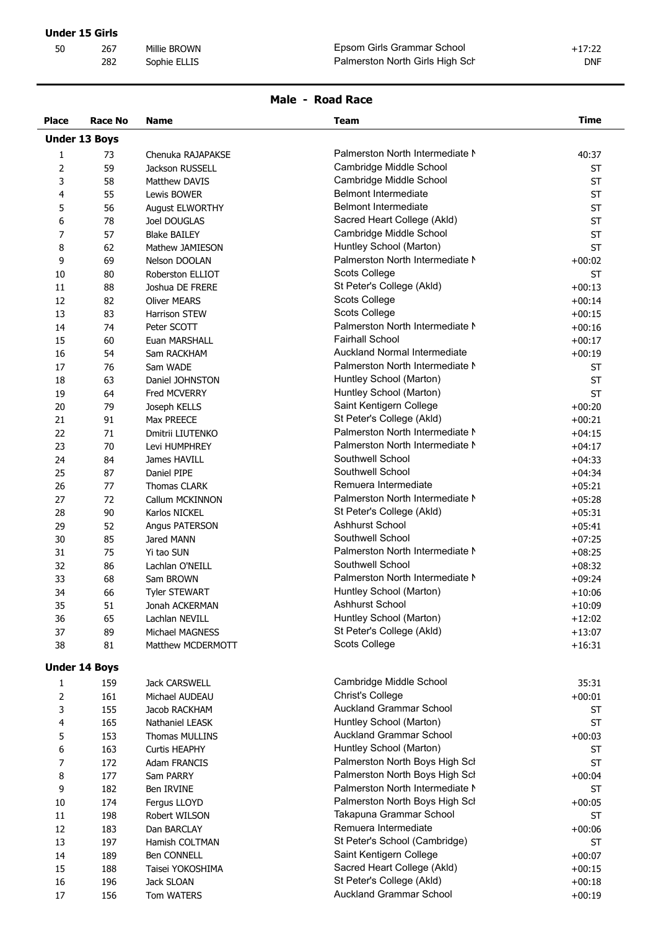# **Male - Road Race**

| <b>Place</b>   | Race No              | <b>Name</b>           | <b>Team</b>                     | <b>Time</b> |
|----------------|----------------------|-----------------------|---------------------------------|-------------|
|                | <b>Under 13 Boys</b> |                       |                                 |             |
| 1              | 73                   | Chenuka RAJAPAKSE     | Palmerston North Intermediate N | 40:37       |
| $\overline{2}$ | 59                   | Jackson RUSSELL       | Cambridge Middle School         | <b>ST</b>   |
| 3              | 58                   | Matthew DAVIS         | Cambridge Middle School         | <b>ST</b>   |
| 4              | 55                   | Lewis BOWER           | <b>Belmont Intermediate</b>     | <b>ST</b>   |
| 5              | 56                   | August ELWORTHY       | <b>Belmont Intermediate</b>     | <b>ST</b>   |
| 6              | 78                   | Joel DOUGLAS          | Sacred Heart College (Akld)     | <b>ST</b>   |
| 7              | 57                   | <b>Blake BAILEY</b>   | Cambridge Middle School         | <b>ST</b>   |
| 8              | 62                   | Mathew JAMIESON       | Huntley School (Marton)         | <b>ST</b>   |
| 9              | 69                   | Nelson DOOLAN         | Palmerston North Intermediate N | $+00:02$    |
| 10             | 80                   | Roberston ELLIOT      | Scots College                   | <b>ST</b>   |
| 11             | 88                   | Joshua DE FRERE       | St Peter's College (Akld)       | $+00:13$    |
| 12             | 82                   | <b>Oliver MEARS</b>   | Scots College                   | $+00:14$    |
| 13             | 83                   | Harrison STEW         | Scots College                   | $+00:15$    |
| 14             | 74                   | Peter SCOTT           | Palmerston North Intermediate N | $+00:16$    |
| 15             | 60                   | Euan MARSHALL         | <b>Fairhall School</b>          | $+00:17$    |
| 16             | 54                   | Sam RACKHAM           | Auckland Normal Intermediate    | $+00:19$    |
| 17             | 76                   | Sam WADE              | Palmerston North Intermediate N | <b>ST</b>   |
| 18             | 63                   | Daniel JOHNSTON       | Huntley School (Marton)         | <b>ST</b>   |
| 19             | 64                   | Fred MCVERRY          | Huntley School (Marton)         | <b>ST</b>   |
| 20             | 79                   | Joseph KELLS          | Saint Kentigern College         | $+00:20$    |
| 21             | 91                   | Max PREECE            | St Peter's College (Akld)       | $+00:21$    |
| 22             | 71                   | Dmitrii LIUTENKO      | Palmerston North Intermediate N | $+04:15$    |
| 23             | 70                   | Levi HUMPHREY         | Palmerston North Intermediate N | $+04:17$    |
| 24             | 84                   | James HAVILL          | Southwell School                | $+04:33$    |
| 25             | 87                   | Daniel PIPE           | Southwell School                | $+04:34$    |
| 26             | 77                   | Thomas CLARK          | Remuera Intermediate            | $+05:21$    |
|                |                      | Callum MCKINNON       | Palmerston North Intermediate N |             |
| 27             | 72                   | Karlos NICKEL         | St Peter's College (Akld)       | $+05:28$    |
| 28             | 90                   |                       | <b>Ashhurst School</b>          | $+05:31$    |
| 29             | 52                   | Angus PATERSON        | Southwell School                | $+05:41$    |
| 30             | 85                   | Jared MANN            | Palmerston North Intermediate N | $+07:25$    |
| 31             | 75                   | Yi tao SUN            |                                 | $+08:25$    |
| 32             | 86                   | Lachlan O'NEILL       | Southwell School                | $+08:32$    |
| 33             | 68                   | Sam BROWN             | Palmerston North Intermediate N | $+09:24$    |
| 34             | 66                   | <b>Tyler STEWART</b>  | Huntley School (Marton)         | $+10:06$    |
| 35             | 51                   | Jonah ACKERMAN        | Ashhurst School                 | $+10:09$    |
| 36             | 65                   | Lachlan NEVILL        | Huntley School (Marton)         | $+12:02$    |
| 37             | 89                   | Michael MAGNESS       | St Peter's College (Akld)       | $+13:07$    |
| 38             | 81                   | Matthew MCDERMOTT     | Scots College                   | $+16:31$    |
|                | <b>Under 14 Boys</b> |                       |                                 |             |
| 1              | 159                  | Jack CARSWELL         | Cambridge Middle School         | 35:31       |
| $\overline{2}$ | 161                  | Michael AUDEAU        | Christ's College                | $+00:01$    |
| 3              | 155                  | Jacob RACKHAM         | <b>Auckland Grammar School</b>  | ST          |
| 4              | 165                  | Nathaniel LEASK       | Huntley School (Marton)         | ST          |
| 5              | 153                  | <b>Thomas MULLINS</b> | Auckland Grammar School         | $+00:03$    |
| 6              | 163                  | Curtis HEAPHY         | Huntley School (Marton)         | ST          |
| 7              | 172                  | Adam FRANCIS          | Palmerston North Boys High Scl  | ST          |
| 8              | 177                  | Sam PARRY             | Palmerston North Boys High Scl  | $+00:04$    |
| 9              | 182                  | Ben IRVINE            | Palmerston North Intermediate N | ST          |
| 10             | 174                  | Fergus LLOYD          | Palmerston North Boys High Scl  | $+00:05$    |
| 11             | 198                  | Robert WILSON         | Takapuna Grammar School         | ST          |
| 12             | 183                  | Dan BARCLAY           | Remuera Intermediate            | $+00:06$    |
| 13             | 197                  | Hamish COLTMAN        | St Peter's School (Cambridge)   | ST          |
| 14             | 189                  | Ben CONNELL           | Saint Kentigern College         | $+00:07$    |
| 15             | 188                  | Taisei YOKOSHIMA      | Sacred Heart College (Akld)     | $+00:15$    |
| 16             | 196                  | Jack SLOAN            | St Peter's College (Akld)       | $+00:18$    |
| 17             | 156                  | Tom WATERS            | Auckland Grammar School         | $+00:19$    |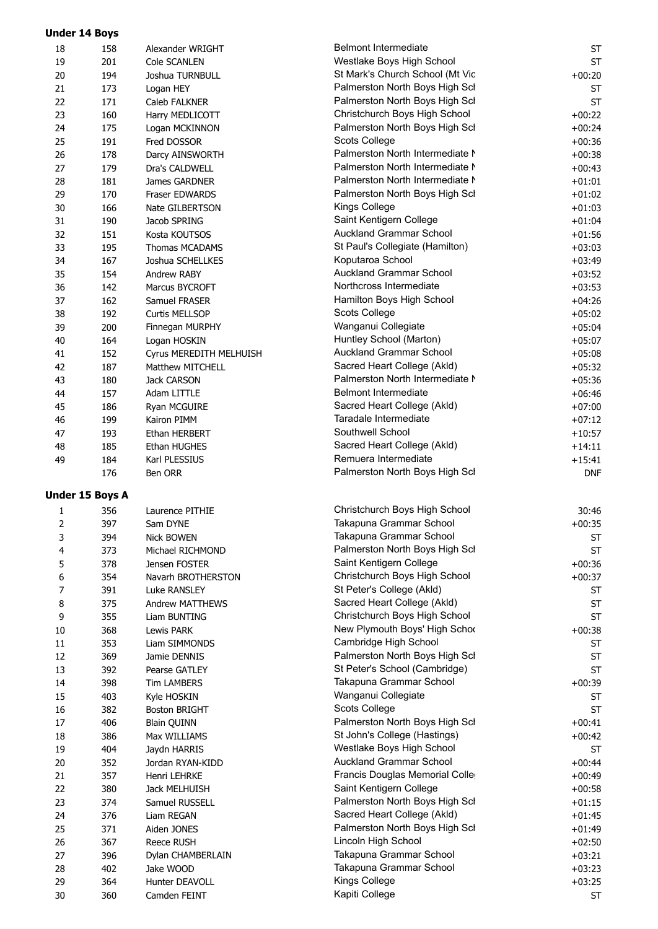| <b>Under 14 Boys</b> |                        |                         |                                 |            |
|----------------------|------------------------|-------------------------|---------------------------------|------------|
| 18                   | 158                    | Alexander WRIGHT        | <b>Belmont Intermediate</b>     | ST         |
| 19                   | 201                    | Cole SCANLEN            | Westlake Boys High School       | <b>ST</b>  |
| 20                   | 194                    | Joshua TURNBULL         | St Mark's Church School (Mt Vic | $+00:20$   |
| 21                   | 173                    | Logan HEY               | Palmerston North Boys High Scl  | <b>ST</b>  |
| 22                   | 171                    | Caleb FALKNER           | Palmerston North Boys High Scl  | <b>ST</b>  |
| 23                   | 160                    | Harry MEDLICOTT         | Christchurch Boys High School   | $+00:22$   |
| 24                   | 175                    | Logan MCKINNON          | Palmerston North Boys High Scl  | $+00:24$   |
| 25                   | 191                    | Fred DOSSOR             | Scots College                   | $+00:36$   |
| 26                   | 178                    | Darcy AINSWORTH         | Palmerston North Intermediate N | $+00:38$   |
| 27                   | 179                    | Dra's CALDWELL          | Palmerston North Intermediate N | $+00:43$   |
| 28                   | 181                    | James GARDNER           | Palmerston North Intermediate N | $+01:01$   |
| 29                   | 170                    | Fraser EDWARDS          | Palmerston North Boys High Scl  | $+01:02$   |
| 30                   | 166                    | Nate GILBERTSON         | Kings College                   | $+01:03$   |
| 31                   | 190                    | Jacob SPRING            | Saint Kentigern College         | $+01:04$   |
| 32                   | 151                    | Kosta KOUTSOS           | Auckland Grammar School         | $+01:56$   |
| 33                   | 195                    | Thomas MCADAMS          | St Paul's Collegiate (Hamilton) | $+03:03$   |
| 34                   | 167                    | Joshua SCHELLKES        | Koputaroa School                | $+03:49$   |
| 35                   | 154                    | Andrew RABY             | <b>Auckland Grammar School</b>  | $+03:52$   |
| 36                   | 142                    | Marcus BYCROFT          | Northcross Intermediate         | $+03:53$   |
|                      |                        | Samuel FRASER           | Hamilton Boys High School       |            |
| 37                   | 162                    |                         | Scots College                   | $+04:26$   |
| 38                   | 192                    | <b>Curtis MELLSOP</b>   |                                 | $+05:02$   |
| 39                   | 200                    | Finnegan MURPHY         | Wanganui Collegiate             | $+05:04$   |
| 40                   | 164                    | Logan HOSKIN            | Huntley School (Marton)         | $+05:07$   |
| 41                   | 152                    | Cyrus MEREDITH MELHUISH | Auckland Grammar School         | $+05:08$   |
| 42                   | 187                    | Matthew MITCHELL        | Sacred Heart College (Akld)     | $+05:32$   |
| 43                   | 180                    | Jack CARSON             | Palmerston North Intermediate N | $+05:36$   |
| 44                   | 157                    | Adam LITTLE             | <b>Belmont Intermediate</b>     | $+06:46$   |
| 45                   | 186                    | Ryan MCGUIRE            | Sacred Heart College (Akld)     | $+07:00$   |
| 46                   | 199                    | Kairon PIMM             | Taradale Intermediate           | $+07:12$   |
| 47                   | 193                    | Ethan HERBERT           | Southwell School                | $+10:57$   |
| 48                   | 185                    | Ethan HUGHES            | Sacred Heart College (Akld)     | $+14:11$   |
| 49                   | 184                    | Karl PLESSIUS           | Remuera Intermediate            | $+15:41$   |
|                      | 176                    | Ben ORR                 | Palmerston North Boys High Scl  | <b>DNF</b> |
|                      | <b>Under 15 Boys A</b> |                         |                                 |            |
|                      |                        |                         |                                 |            |
| 1                    | 356                    | Laurence PITHIE         | Christchurch Boys High School   | 30:46      |
| 2                    | 397                    | Sam DYNE                | Takapuna Grammar School         | $+00:35$   |
| 3                    | 394                    | <b>Nick BOWEN</b>       | Takapuna Grammar School         | <b>ST</b>  |
| 4                    | 373                    | Michael RICHMOND        | Palmerston North Boys High Scl  | <b>ST</b>  |
| 5                    | 378                    | Jensen FOSTER           | Saint Kentigern College         | $+00:36$   |
| 6                    | 354                    | Navarh BROTHERSTON      | Christchurch Boys High School   | $+00:37$   |
| $\overline{7}$       | 391                    | <b>Luke RANSLEY</b>     | St Peter's College (Akld)       | ST         |
| 8                    | 375                    | <b>Andrew MATTHEWS</b>  | Sacred Heart College (Akld)     | <b>ST</b>  |
| 9                    | 355                    | Liam BUNTING            | Christchurch Boys High School   | <b>ST</b>  |
| 10                   | 368                    | <b>Lewis PARK</b>       | New Plymouth Boys' High Schoo   | $+00:38$   |
| 11                   | 353                    | Liam SIMMONDS           | Cambridge High School           | ST         |
| 12                   | 369                    | Jamie DENNIS            | Palmerston North Boys High Scl  | <b>ST</b>  |
| 13                   | 392                    | Pearse GATLEY           | St Peter's School (Cambridge)   | <b>ST</b>  |
| 14                   | 398                    | <b>Tim LAMBERS</b>      | Takapuna Grammar School         | $+00:39$   |
| 15                   | 403                    | Kyle HOSKIN             | Wanganui Collegiate             | <b>ST</b>  |
| 16                   | 382                    | <b>Boston BRIGHT</b>    | Scots College                   | <b>ST</b>  |
| 17                   | 406                    | <b>Blain QUINN</b>      | Palmerston North Boys High Scl  | $+00:41$   |
| 18                   | 386                    | Max WILLIAMS            | St John's College (Hastings)    | $+00:42$   |
| 19                   | 404                    | Jaydn HARRIS            | Westlake Boys High School       | <b>ST</b>  |
| 20                   | 352                    | Jordan RYAN-KIDD        | Auckland Grammar School         | $+00:44$   |
| 21                   | 357                    | Henri LEHRKE            | Francis Douglas Memorial Coller | $+00:49$   |
| 22                   | 380                    | Jack MELHUISH           | Saint Kentigern College         | $+00:58$   |
| 23                   | 374                    | Samuel RUSSELL          | Palmerston North Boys High Scl  | $+01:15$   |
| 24                   | 376                    | Liam REGAN              | Sacred Heart College (Akld)     | $+01:45$   |
| 25                   | 371                    | Aiden JONES             | Palmerston North Boys High Scl  | $+01:49$   |
| 26                   | 367                    | <b>Reece RUSH</b>       | Lincoln High School             | $+02:50$   |
| 27                   | 396                    | Dylan CHAMBERLAIN       | Takapuna Grammar School         | $+03:21$   |
| 28                   | 402                    | Jake WOOD               | Takapuna Grammar School         | $+03:23$   |
| 29                   | 364                    | Hunter DEAVOLL          | Kings College                   | $+03:25$   |
|                      |                        |                         | Kapiti College                  |            |
| 30                   | 360                    | Camden FEINT            |                                 | ST         |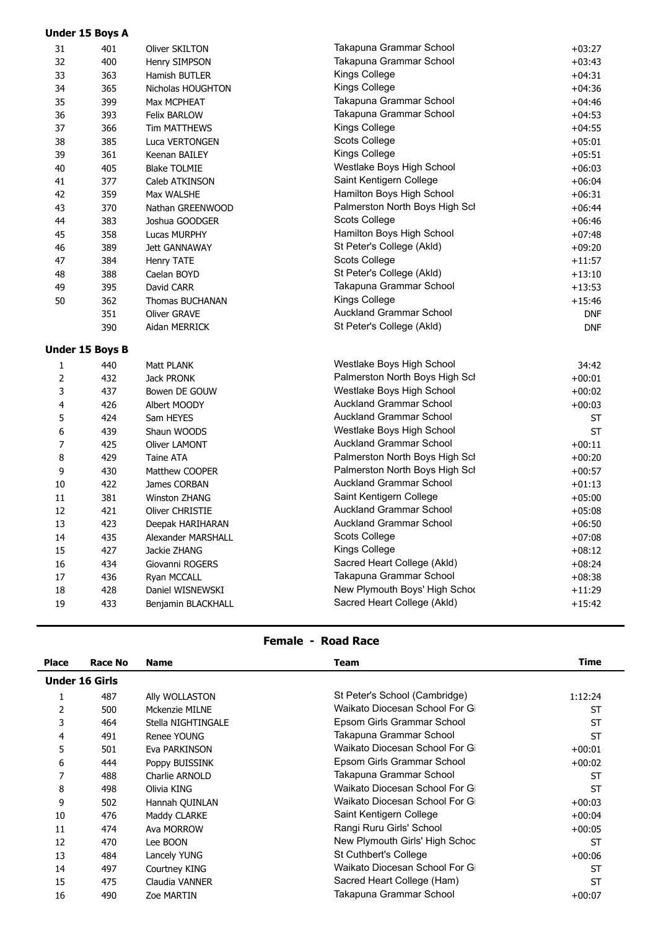|                | <b>Under 15 Boys A</b> |                        |                                |            |
|----------------|------------------------|------------------------|--------------------------------|------------|
| 31             | 401                    | Oliver SKILTON         | Takapuna Grammar School        | $+03:27$   |
| 32             | 400                    | Henry SIMPSON          | Takapuna Grammar School        | $+03:43$   |
| 33             | 363                    | Hamish BUTLER          | Kings College                  | $+04:31$   |
| 34             | 365                    | Nicholas HOUGHTON      | Kings College                  | $+04:36$   |
| 35             | 399                    | Max MCPHEAT            | Takapuna Grammar School        | $+04:46$   |
| 36             | 393                    | Felix BARLOW           | Takapuna Grammar School        | $+04:53$   |
| 37             | 366                    | Tim MATTHEWS           | Kings College                  | $+04:55$   |
| 38             | 385                    | Luca VERTONGEN         | Scots College                  | $+05:01$   |
| 39             | 361                    | Keenan BAILEY          | Kings College                  | $+05:51$   |
| 40             | 405                    | <b>Blake TOLMIE</b>    | Westlake Boys High School      | $+06:03$   |
| 41             | 377                    | Caleb ATKINSON         | Saint Kentigern College        | $+06:04$   |
| 42             | 359                    | Max WALSHE             | Hamilton Boys High School      | $+06:31$   |
| 43             | 370                    | Nathan GREENWOOD       | Palmerston North Boys High Scl | $+06:44$   |
| 44             | 383                    | Joshua GOODGER         | Scots College                  | $+06:46$   |
| 45             | 358                    | Lucas MURPHY           | Hamilton Boys High School      | $+07:48$   |
| 46             | 389                    | <b>Jett GANNAWAY</b>   | St Peter's College (Akld)      | $+09:20$   |
| 47             | 384                    | Henry TATE             | Scots College                  | $+11:57$   |
| 48             | 388                    | Caelan BOYD            | St Peter's College (Akld)      | $+13:10$   |
| 49             | 395                    | David CARR             | Takapuna Grammar School        | $+13:53$   |
| 50             | 362                    | <b>Thomas BUCHANAN</b> | Kings College                  | $+15:46$   |
|                | 351                    | Oliver GRAVE           | Auckland Grammar School        | <b>DNF</b> |
|                | 390                    | Aidan MERRICK          | St Peter's College (Akld)      | <b>DNF</b> |
|                | <b>Under 15 Boys B</b> |                        |                                |            |
| 1              | 440                    | Matt PLANK             | Westlake Boys High School      | 34:42      |
| 2              | 432                    | Jack PRONK             | Palmerston North Boys High Scl | $+00:01$   |
| 3              | 437                    | Bowen DE GOUW          | Westlake Boys High School      | $+00:02$   |
| 4              | 426                    | Albert MOODY           | Auckland Grammar School        | $+00:03$   |
| 5              | 424                    | Sam HEYES              | Auckland Grammar School        | <b>ST</b>  |
| 6              | 439                    | Shaun WOODS            | Westlake Boys High School      | <b>ST</b>  |
| $\overline{7}$ | 425                    | Oliver LAMONT          | Auckland Grammar School        | $+00:11$   |
| 8              | 429                    | Taine ATA              | Palmerston North Boys High Scl | $+00:20$   |
| 9              | 430                    | Matthew COOPER         | Palmerston North Boys High Scl | $+00:57$   |
| 10             | 422                    | James CORBAN           | <b>Auckland Grammar School</b> | $+01:13$   |
| 11             | 381                    | Winston ZHANG          | Saint Kentigern College        | $+05:00$   |
| 12             | 421                    | Oliver CHRISTIE        | Auckland Grammar School        | $+05:08$   |
| 13             | 423                    | Deepak HARIHARAN       | Auckland Grammar School        | $+06:50$   |
| 14             | 435                    | Alexander MARSHALL     | Scots College                  | $+07:08$   |
| 15             | 427                    | Jackie ZHANG           | Kings College                  | $+08:12$   |
| $16\,$         | 434                    | Giovanni ROGERS        | Sacred Heart College (Akld)    | $+08:24$   |
| $17\,$         | 436                    | Ryan MCCALL            | Takapuna Grammar School        | $+08:38$   |
| 18             | 428                    | Daniel WISNEWSKI       | New Plymouth Boys' High Schod  | $+11:29$   |
| 19             | 433                    | Benjamin BLACKHALL     | Sacred Heart College (Akld)    | $+15:42$   |
|                |                        |                        |                                |            |

# **Female - Road Race**

| Place | <b>Race No</b>        | <b>Name</b>        | Team                           | <b>Time</b> |  |  |  |
|-------|-----------------------|--------------------|--------------------------------|-------------|--|--|--|
|       | <b>Under 16 Girls</b> |                    |                                |             |  |  |  |
|       | 487                   | Ally WOLLASTON     | St Peter's School (Cambridge)  | 1:12:24     |  |  |  |
| 2     | 500                   | Mckenzie MILNE     | Waikato Diocesan School For Gi | <b>ST</b>   |  |  |  |
| 3     | 464                   | Stella NIGHTINGALE | Epsom Girls Grammar School     | <b>ST</b>   |  |  |  |
| 4     | 491                   | Renee YOUNG        | Takapuna Grammar School        | <b>ST</b>   |  |  |  |
| 5     | 501                   | Eva PARKINSON      | Waikato Diocesan School For Gi | $+00:01$    |  |  |  |
| 6     | 444                   | Poppy BUISSINK     | Epsom Girls Grammar School     | $+00:02$    |  |  |  |
|       | 488                   | Charlie ARNOLD     | Takapuna Grammar School        | <b>ST</b>   |  |  |  |
| 8     | 498                   | Olivia KING        | Waikato Diocesan School For Gi | <b>ST</b>   |  |  |  |
| 9     | 502                   | Hannah QUINLAN     | Waikato Diocesan School For Gi | $+00:03$    |  |  |  |
| 10    | 476                   | Maddy CLARKE       | Saint Kentigern College        | $+00:04$    |  |  |  |
| 11    | 474                   | Ava MORROW         | Rangi Ruru Girls' School       | $+00:05$    |  |  |  |
| 12    | 470                   | Lee BOON           | New Plymouth Girls' High Schoc | <b>ST</b>   |  |  |  |
| 13    | 484                   | Lancely YUNG       | St Cuthbert's College          | $+00:06$    |  |  |  |
| 14    | 497                   | Courtney KING      | Waikato Diocesan School For Gi | <b>ST</b>   |  |  |  |
| 15    | 475                   | Claudia VANNER     | Sacred Heart College (Ham)     | <b>ST</b>   |  |  |  |
| 16    | 490                   | <b>Zoe MARTIN</b>  | Takapuna Grammar School        | $+00:07$    |  |  |  |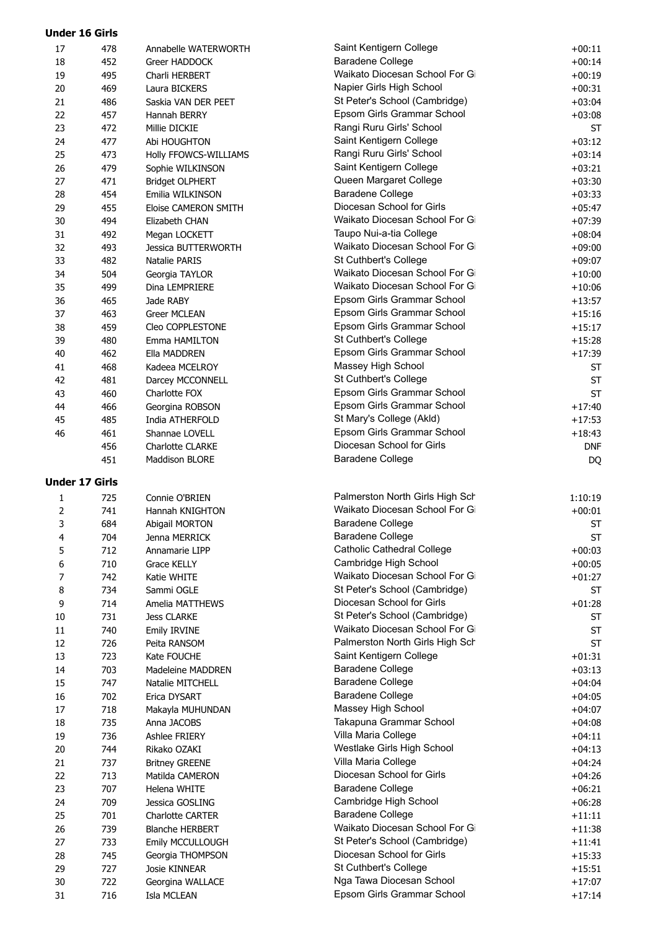| <b>Under 16 Girls</b> |            |                                        |                                                      |                      |
|-----------------------|------------|----------------------------------------|------------------------------------------------------|----------------------|
| 17                    | 478        | Annabelle WATERWORTH                   | Saint Kentigern College                              | $+00:11$             |
| 18                    | 452        | Greer HADDOCK                          | Baradene College                                     | $+00:14$             |
| 19                    | 495        | Charli HERBERT                         | Waikato Diocesan School For Gi                       | $+00:19$             |
| 20                    | 469        | Laura BICKERS                          | Napier Girls High School                             | $+00:31$             |
| 21                    | 486        | Saskia VAN DER PEET                    | St Peter's School (Cambridge)                        | $+03:04$             |
| 22                    | 457        | Hannah BERRY                           | Epsom Girls Grammar School                           | $+03:08$             |
| 23                    | 472        | Millie DICKIE                          | Rangi Ruru Girls' School                             | <b>ST</b>            |
| 24                    | 477        | Abi HOUGHTON                           | Saint Kentigern College                              | $+03:12$             |
| 25                    | 473        | <b>Holly FFOWCS-WILLIAMS</b>           | Rangi Ruru Girls' School                             | $+03:14$             |
| 26                    | 479        | Sophie WILKINSON                       | Saint Kentigern College                              | $+03:21$             |
| 27                    | 471        | <b>Bridget OLPHERT</b>                 | Queen Margaret College                               | $+03:30$             |
| 28                    | 454        | Emilia WILKINSON                       | <b>Baradene College</b><br>Diocesan School for Girls | $+03:33$             |
| 29<br>30              | 455<br>494 | Eloise CAMERON SMITH<br>Elizabeth CHAN | Waikato Diocesan School For Gi                       | $+05:47$<br>$+07:39$ |
| 31                    | 492        | Megan LOCKETT                          | Taupo Nui-a-tia College                              | $+08:04$             |
| 32                    | 493        | <b>Jessica BUTTERWORTH</b>             | Waikato Diocesan School For Gi                       | $+09:00$             |
| 33                    | 482        | Natalie PARIS                          | St Cuthbert's College                                | $+09:07$             |
| 34                    | 504        | Georgia TAYLOR                         | Waikato Diocesan School For Gi                       | $+10:00$             |
| 35                    | 499        | Dina LEMPRIERE                         | Waikato Diocesan School For Gi                       | $+10:06$             |
| 36                    | 465        | Jade RABY                              | Epsom Girls Grammar School                           | $+13:57$             |
| 37                    | 463        | Greer MCLEAN                           | Epsom Girls Grammar School                           | $+15:16$             |
| 38                    | 459        | Cleo COPPLESTONE                       | Epsom Girls Grammar School                           | $+15:17$             |
| 39                    | 480        | Emma HAMILTON                          | St Cuthbert's College                                | $+15:28$             |
| 40                    | 462        | Ella MADDREN                           | Epsom Girls Grammar School                           | $+17:39$             |
| 41                    | 468        | Kadeea MCELROY                         | Massey High School                                   | <b>ST</b>            |
| 42                    | 481        | Darcey MCCONNELL                       | St Cuthbert's College                                | <b>ST</b>            |
| 43                    | 460        | Charlotte FOX                          | Epsom Girls Grammar School                           | <b>ST</b>            |
| 44                    | 466        | Georgina ROBSON                        | Epsom Girls Grammar School                           | $+17:40$             |
| 45                    | 485        | India ATHERFOLD                        | St Mary's College (Akld)                             | $+17:53$             |
| 46                    | 461        | Shannae LOVELL                         | Epsom Girls Grammar School                           | $+18:43$             |
|                       | 456        | <b>Charlotte CLARKE</b>                | Diocesan School for Girls                            | <b>DNF</b>           |
|                       | 451        | Maddison BLORE                         | Baradene College                                     | DQ                   |
| <b>Under 17 Girls</b> |            |                                        |                                                      |                      |
| 1                     | 725        | Connie O'BRIEN                         | Palmerston North Girls High Sch                      | 1:10:19              |
| 2                     | 741        | Hannah KNIGHTON                        | Waikato Diocesan School For Gi                       | $+00:01$             |
| 3                     | 684        | Abigail MORTON                         | <b>Baradene College</b>                              | <b>ST</b>            |
| 4                     | 704        | Jenna MERRICK                          | <b>Baradene College</b>                              | <b>ST</b>            |
| 5                     | 712        | Annamarie LIPP                         | <b>Catholic Cathedral College</b>                    | $+00:03$             |
| 6                     | 710        | <b>Grace KELLY</b>                     | Cambridge High School                                | $+00:05$             |
| 7                     | 742        | Katie WHITE                            | Waikato Diocesan School For Gi                       | $+01:27$             |
| 8                     | 734        | Sammi OGLE                             | St Peter's School (Cambridge)                        | <b>ST</b>            |
| 9                     | 714        | Amelia MATTHEWS                        | Diocesan School for Girls                            | $+01:28$             |
| 10                    | 731        | <b>Jess CLARKE</b>                     | St Peter's School (Cambridge)                        | <b>ST</b>            |
| 11                    | 740        | Emily IRVINE                           | Waikato Diocesan School For Gi                       | <b>ST</b>            |
| 12                    | 726        | Peita RANSOM                           | Palmerston North Girls High Sch                      | <b>ST</b>            |
| 13                    | 723        | Kate FOUCHE                            | Saint Kentigern College                              | $+01:31$             |
| 14                    | 703        | Madeleine MADDREN                      | <b>Baradene College</b><br><b>Baradene College</b>   | $+03:13$             |
| 15                    | 747        | Natalie MITCHELL                       | <b>Baradene College</b>                              | $+04:04$             |
| 16<br>17              | 702<br>718 | Erica DYSART                           | Massey High School                                   | $+04:05$<br>$+04:07$ |
| 18                    | 735        | Makayla MUHUNDAN<br>Anna JACOBS        | Takapuna Grammar School                              | $+04:08$             |
| 19                    | 736        | Ashlee FRIERY                          | Villa Maria College                                  | $+04:11$             |
| 20                    | 744        | Rikako OZAKI                           | Westlake Girls High School                           | $+04:13$             |
| 21                    | 737        | <b>Britney GREENE</b>                  | Villa Maria College                                  | $+04:24$             |
| 22                    | 713        | Matilda CAMERON                        | Diocesan School for Girls                            | $+04:26$             |
| 23                    | 707        | Helena WHITE                           | <b>Baradene College</b>                              | $+06:21$             |
| 24                    | 709        | Jessica GOSLING                        | Cambridge High School                                | $+06:28$             |
| 25                    | 701        | Charlotte CARTER                       | <b>Baradene College</b>                              | $+11:11$             |
| 26                    | 739        | <b>Blanche HERBERT</b>                 | Waikato Diocesan School For Gi                       | $+11:38$             |
| 27                    | 733        | Emily MCCULLOUGH                       | St Peter's School (Cambridge)                        | $+11:41$             |
| 28                    | 745        | Georgia THOMPSON                       | Diocesan School for Girls                            | $+15:33$             |
| 29                    | 727        | Josie KINNEAR                          | St Cuthbert's College                                | $+15:51$             |
| 30                    | 722        | Georgina WALLACE                       | Nga Tawa Diocesan School                             | $+17:07$             |
| 31                    | 716        | Isla MCLEAN                            | Epsom Girls Grammar School                           | $+17:14$             |
|                       |            |                                        |                                                      |                      |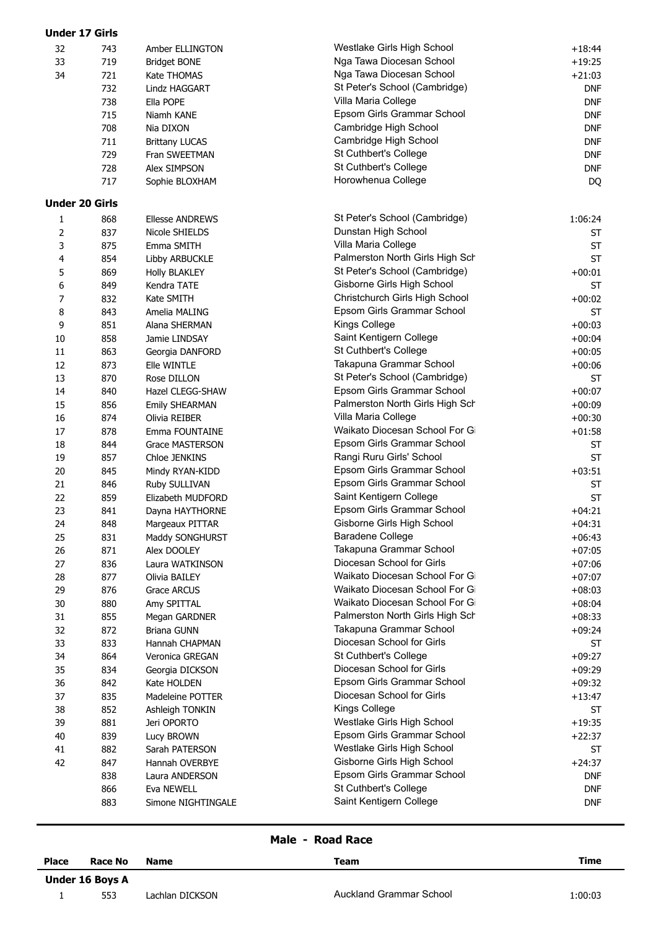| <b>Under 17 Girls</b> |     |                        |                                 |                        |
|-----------------------|-----|------------------------|---------------------------------|------------------------|
| 32                    | 743 | Amber ELLINGTON        | Westlake Girls High School      | $+18:44$               |
| 33                    | 719 | <b>Bridget BONE</b>    | Nga Tawa Diocesan School        | $+19:25$               |
| 34                    | 721 | Kate THOMAS            | Nga Tawa Diocesan School        | $+21:03$               |
|                       | 732 | Lindz HAGGART          | St Peter's School (Cambridge)   | <b>DNF</b>             |
|                       | 738 | Ella POPE              | Villa Maria College             | <b>DNF</b>             |
|                       | 715 | Niamh KANE             | Epsom Girls Grammar School      | <b>DNF</b>             |
|                       | 708 | Nia DIXON              | Cambridge High School           | <b>DNF</b>             |
|                       | 711 | <b>Brittany LUCAS</b>  | Cambridge High School           | <b>DNF</b>             |
|                       | 729 | Fran SWEETMAN          | St Cuthbert's College           | <b>DNF</b>             |
|                       | 728 | Alex SIMPSON           | St Cuthbert's College           | <b>DNF</b>             |
|                       | 717 | Sophie BLOXHAM         | Horowhenua College              | DQ                     |
|                       |     |                        |                                 |                        |
| <b>Under 20 Girls</b> | 868 | <b>Ellesse ANDREWS</b> | St Peter's School (Cambridge)   | 1:06:24                |
| 1                     |     |                        | Dunstan High School             |                        |
| 2                     | 837 | Nicole SHIELDS         | Villa Maria College             | <b>ST</b><br><b>ST</b> |
| 3                     | 875 | Emma SMITH             | Palmerston North Girls High Sch |                        |
| 4                     | 854 | Libby ARBUCKLE         |                                 | <b>ST</b>              |
| 5                     | 869 | <b>Holly BLAKLEY</b>   | St Peter's School (Cambridge)   | $+00:01$               |
| 6                     | 849 | Kendra TATE            | Gisborne Girls High School      | <b>ST</b>              |
| 7                     | 832 | Kate SMITH             | Christchurch Girls High School  | $+00:02$               |
| 8                     | 843 | Amelia MALING          | Epsom Girls Grammar School      | <b>ST</b>              |
| 9                     | 851 | Alana SHERMAN          | Kings College                   | $+00:03$               |
| 10                    | 858 | Jamie LINDSAY          | Saint Kentigern College         | $+00:04$               |
| 11                    | 863 | Georgia DANFORD        | St Cuthbert's College           | $+00:05$               |
| 12                    | 873 | Elle WINTLE            | Takapuna Grammar School         | $+00:06$               |
| 13                    | 870 | Rose DILLON            | St Peter's School (Cambridge)   | <b>ST</b>              |
| 14                    | 840 | Hazel CLEGG-SHAW       | Epsom Girls Grammar School      | $+00:07$               |
| 15                    | 856 | <b>Emily SHEARMAN</b>  | Palmerston North Girls High Sch | $+00:09$               |
| 16                    | 874 | Olivia REIBER          | Villa Maria College             | $+00:30$               |
| 17                    | 878 | Emma FOUNTAINE         | Waikato Diocesan School For Gi  | $+01:58$               |
| 18                    | 844 | Grace MASTERSON        | Epsom Girls Grammar School      | <b>ST</b>              |
| 19                    | 857 | Chloe JENKINS          | Rangi Ruru Girls' School        | <b>ST</b>              |
| 20                    | 845 | Mindy RYAN-KIDD        | Epsom Girls Grammar School      | $+03:51$               |
| 21                    | 846 | Ruby SULLIVAN          | Epsom Girls Grammar School      | <b>ST</b>              |
| 22                    | 859 | Elizabeth MUDFORD      | Saint Kentigern College         | <b>ST</b>              |
| 23                    | 841 | Dayna HAYTHORNE        | Epsom Girls Grammar School      | $+04:21$               |
| 24                    | 848 | Margeaux PITTAR        | Gisborne Girls High School      | $+04:31$               |
| 25                    | 831 | Maddy SONGHURST        | Baradene College                | $+06:43$               |
| 26                    | 871 | Alex DOOLEY            | Takapuna Grammar School         | $+07:05$               |
| 27                    | 836 | Laura WATKINSON        | Diocesan School for Girls       | $+07:06$               |
| 28                    | 877 | Olivia BAILEY          | Waikato Diocesan School For Gi  | $+07:07$               |
| 29                    | 876 | <b>Grace ARCUS</b>     | Waikato Diocesan School For Gi  | $+08:03$               |
| 30                    | 880 | Amy SPITTAL            | Waikato Diocesan School For Gi  | $+08:04$               |
| 31                    | 855 | Megan GARDNER          | Palmerston North Girls High Sch | $+08:33$               |
| 32                    | 872 | <b>Briana GUNN</b>     | Takapuna Grammar School         | $+09:24$               |
| 33                    | 833 | Hannah CHAPMAN         | Diocesan School for Girls       | <b>ST</b>              |
| 34                    | 864 | Veronica GREGAN        | St Cuthbert's College           | $+09:27$               |
| 35                    | 834 | Georgia DICKSON        | Diocesan School for Girls       | $+09:29$               |
| 36                    | 842 | Kate HOLDEN            | Epsom Girls Grammar School      | $+09:32$               |
| 37                    | 835 | Madeleine POTTER       | Diocesan School for Girls       | $+13:47$               |
| 38                    | 852 | Ashleigh TONKIN        | Kings College                   | <b>ST</b>              |
| 39                    | 881 | Jeri OPORTO            | Westlake Girls High School      | $+19:35$               |
| 40                    | 839 | Lucy BROWN             | Epsom Girls Grammar School      | $+22:37$               |
| 41                    | 882 | Sarah PATERSON         | Westlake Girls High School      | <b>ST</b>              |
| 42                    | 847 | Hannah OVERBYE         | Gisborne Girls High School      | $+24:37$               |
|                       | 838 | Laura ANDERSON         | Epsom Girls Grammar School      | <b>DNF</b>             |
|                       | 866 | Eva NEWELL             | St Cuthbert's College           | <b>DNF</b>             |
|                       | 883 | Simone NIGHTINGALE     | Saint Kentigern College         | <b>DNF</b>             |
|                       |     |                        |                                 |                        |

### **Male - Road Race**

| <b>Place</b>           | <b>Race No</b> | <b>Name</b>     | Team                    | Time    |  |
|------------------------|----------------|-----------------|-------------------------|---------|--|
| <b>Under 16 Boys A</b> |                |                 |                         |         |  |
|                        | 553            | Lachlan DICKSON | Auckland Grammar School | 1:00:03 |  |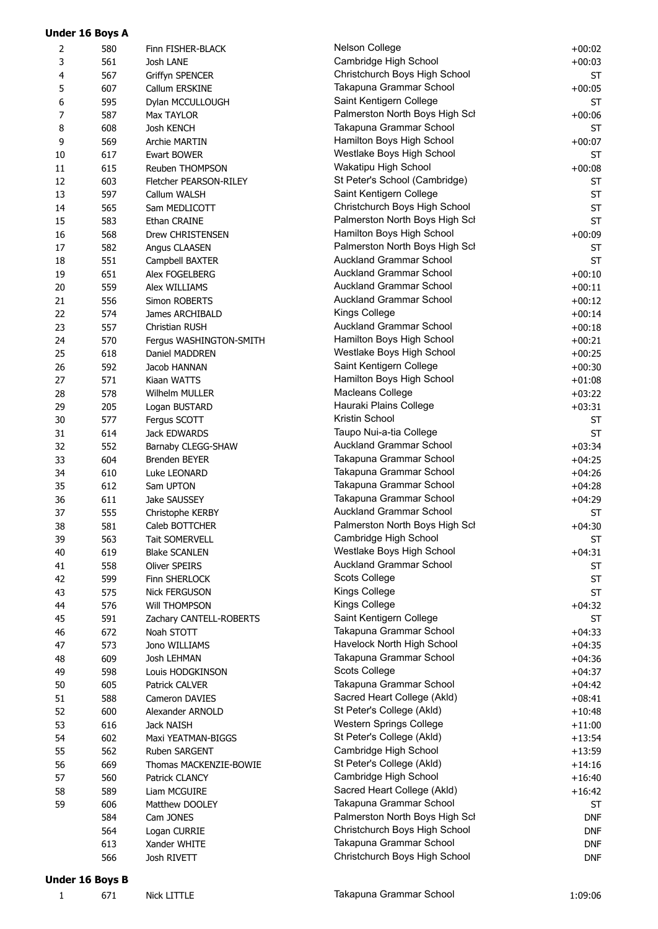| 3<br>4<br>5<br>6<br>7<br>8<br>9<br>$10\,$<br>11<br>12<br>13<br>14<br>15<br>16<br>17<br>18<br>19<br>20<br>21<br>22<br>23<br>24<br>25<br>26 | 561<br>567<br>607<br>595<br>587<br>608<br>569<br>617<br>615<br>603<br>597<br>565<br>583<br>568<br>582<br>551<br>651<br>559<br>556<br>574<br>557<br>570<br>618<br>592<br>571 | Josh LANE<br><b>Griffyn SPENCER</b><br>Callum ERSKINE<br>Dylan MCCULLOUGH<br>Max TAYLOR<br>Josh KENCH<br><b>Archie MARTIN</b><br><b>Ewart BOWER</b><br>Reuben THOMPSON<br>Fletcher PEARSON-RILEY<br>Callum WALSH<br>Sam MEDLICOTT<br>Ethan CRAINE<br>Drew CHRISTENSEN<br>Angus CLAASEN<br>Campbell BAXTER<br>Alex FOGELBERG<br>Alex WILLIAMS<br>Simon ROBERTS<br>James ARCHIBALD<br>Christian RUSH<br>Fergus WASHINGTON-SMITH | Cambridge High School<br>Christchurch Boys High School<br>Takapuna Grammar School<br>Saint Kentigern College<br>Palmerston North Boys High Scl<br>Takapuna Grammar School<br>Hamilton Boys High School<br>Westlake Boys High School<br>Wakatipu High School<br>St Peter's School (Cambridge)<br>Saint Kentigern College<br>Christchurch Boys High School<br>Palmerston North Boys High Scl<br>Hamilton Boys High School<br>Palmerston North Boys High Scl<br>Auckland Grammar School<br><b>Auckland Grammar School</b><br>Auckland Grammar School<br>Auckland Grammar School<br>Kings College | $+00:03$<br><b>ST</b><br>$+00:05$<br><b>ST</b><br>$+00:06$<br><b>ST</b><br>$+00:07$<br><b>ST</b><br>$+00:08$<br><b>ST</b><br><b>ST</b><br><b>ST</b><br><b>ST</b><br>$+00:09$<br><b>ST</b><br><b>ST</b><br>$+00:10$<br>$+00:11$<br>$+00:12$ |
|-------------------------------------------------------------------------------------------------------------------------------------------|-----------------------------------------------------------------------------------------------------------------------------------------------------------------------------|-------------------------------------------------------------------------------------------------------------------------------------------------------------------------------------------------------------------------------------------------------------------------------------------------------------------------------------------------------------------------------------------------------------------------------|-----------------------------------------------------------------------------------------------------------------------------------------------------------------------------------------------------------------------------------------------------------------------------------------------------------------------------------------------------------------------------------------------------------------------------------------------------------------------------------------------------------------------------------------------------------------------------------------------|--------------------------------------------------------------------------------------------------------------------------------------------------------------------------------------------------------------------------------------------|
|                                                                                                                                           |                                                                                                                                                                             |                                                                                                                                                                                                                                                                                                                                                                                                                               |                                                                                                                                                                                                                                                                                                                                                                                                                                                                                                                                                                                               |                                                                                                                                                                                                                                            |
|                                                                                                                                           |                                                                                                                                                                             |                                                                                                                                                                                                                                                                                                                                                                                                                               |                                                                                                                                                                                                                                                                                                                                                                                                                                                                                                                                                                                               |                                                                                                                                                                                                                                            |
|                                                                                                                                           |                                                                                                                                                                             |                                                                                                                                                                                                                                                                                                                                                                                                                               |                                                                                                                                                                                                                                                                                                                                                                                                                                                                                                                                                                                               |                                                                                                                                                                                                                                            |
|                                                                                                                                           |                                                                                                                                                                             |                                                                                                                                                                                                                                                                                                                                                                                                                               |                                                                                                                                                                                                                                                                                                                                                                                                                                                                                                                                                                                               |                                                                                                                                                                                                                                            |
|                                                                                                                                           |                                                                                                                                                                             |                                                                                                                                                                                                                                                                                                                                                                                                                               |                                                                                                                                                                                                                                                                                                                                                                                                                                                                                                                                                                                               |                                                                                                                                                                                                                                            |
|                                                                                                                                           |                                                                                                                                                                             |                                                                                                                                                                                                                                                                                                                                                                                                                               |                                                                                                                                                                                                                                                                                                                                                                                                                                                                                                                                                                                               |                                                                                                                                                                                                                                            |
|                                                                                                                                           |                                                                                                                                                                             |                                                                                                                                                                                                                                                                                                                                                                                                                               |                                                                                                                                                                                                                                                                                                                                                                                                                                                                                                                                                                                               |                                                                                                                                                                                                                                            |
|                                                                                                                                           |                                                                                                                                                                             |                                                                                                                                                                                                                                                                                                                                                                                                                               |                                                                                                                                                                                                                                                                                                                                                                                                                                                                                                                                                                                               |                                                                                                                                                                                                                                            |
|                                                                                                                                           |                                                                                                                                                                             |                                                                                                                                                                                                                                                                                                                                                                                                                               |                                                                                                                                                                                                                                                                                                                                                                                                                                                                                                                                                                                               |                                                                                                                                                                                                                                            |
|                                                                                                                                           |                                                                                                                                                                             |                                                                                                                                                                                                                                                                                                                                                                                                                               |                                                                                                                                                                                                                                                                                                                                                                                                                                                                                                                                                                                               |                                                                                                                                                                                                                                            |
|                                                                                                                                           |                                                                                                                                                                             |                                                                                                                                                                                                                                                                                                                                                                                                                               |                                                                                                                                                                                                                                                                                                                                                                                                                                                                                                                                                                                               |                                                                                                                                                                                                                                            |
|                                                                                                                                           |                                                                                                                                                                             |                                                                                                                                                                                                                                                                                                                                                                                                                               |                                                                                                                                                                                                                                                                                                                                                                                                                                                                                                                                                                                               |                                                                                                                                                                                                                                            |
|                                                                                                                                           |                                                                                                                                                                             |                                                                                                                                                                                                                                                                                                                                                                                                                               |                                                                                                                                                                                                                                                                                                                                                                                                                                                                                                                                                                                               |                                                                                                                                                                                                                                            |
|                                                                                                                                           |                                                                                                                                                                             |                                                                                                                                                                                                                                                                                                                                                                                                                               |                                                                                                                                                                                                                                                                                                                                                                                                                                                                                                                                                                                               |                                                                                                                                                                                                                                            |
|                                                                                                                                           |                                                                                                                                                                             |                                                                                                                                                                                                                                                                                                                                                                                                                               |                                                                                                                                                                                                                                                                                                                                                                                                                                                                                                                                                                                               |                                                                                                                                                                                                                                            |
|                                                                                                                                           |                                                                                                                                                                             |                                                                                                                                                                                                                                                                                                                                                                                                                               |                                                                                                                                                                                                                                                                                                                                                                                                                                                                                                                                                                                               |                                                                                                                                                                                                                                            |
|                                                                                                                                           |                                                                                                                                                                             |                                                                                                                                                                                                                                                                                                                                                                                                                               |                                                                                                                                                                                                                                                                                                                                                                                                                                                                                                                                                                                               |                                                                                                                                                                                                                                            |
|                                                                                                                                           |                                                                                                                                                                             |                                                                                                                                                                                                                                                                                                                                                                                                                               |                                                                                                                                                                                                                                                                                                                                                                                                                                                                                                                                                                                               |                                                                                                                                                                                                                                            |
|                                                                                                                                           |                                                                                                                                                                             |                                                                                                                                                                                                                                                                                                                                                                                                                               |                                                                                                                                                                                                                                                                                                                                                                                                                                                                                                                                                                                               |                                                                                                                                                                                                                                            |
|                                                                                                                                           |                                                                                                                                                                             |                                                                                                                                                                                                                                                                                                                                                                                                                               |                                                                                                                                                                                                                                                                                                                                                                                                                                                                                                                                                                                               |                                                                                                                                                                                                                                            |
|                                                                                                                                           |                                                                                                                                                                             |                                                                                                                                                                                                                                                                                                                                                                                                                               | <b>Auckland Grammar School</b>                                                                                                                                                                                                                                                                                                                                                                                                                                                                                                                                                                | $+00:14$<br>$+00:18$                                                                                                                                                                                                                       |
|                                                                                                                                           |                                                                                                                                                                             |                                                                                                                                                                                                                                                                                                                                                                                                                               | Hamilton Boys High School                                                                                                                                                                                                                                                                                                                                                                                                                                                                                                                                                                     | $+00:21$                                                                                                                                                                                                                                   |
|                                                                                                                                           |                                                                                                                                                                             | Daniel MADDREN                                                                                                                                                                                                                                                                                                                                                                                                                | Westlake Boys High School                                                                                                                                                                                                                                                                                                                                                                                                                                                                                                                                                                     |                                                                                                                                                                                                                                            |
|                                                                                                                                           |                                                                                                                                                                             | Jacob HANNAN                                                                                                                                                                                                                                                                                                                                                                                                                  | Saint Kentigern College                                                                                                                                                                                                                                                                                                                                                                                                                                                                                                                                                                       | $+00:25$<br>$+00:30$                                                                                                                                                                                                                       |
|                                                                                                                                           |                                                                                                                                                                             |                                                                                                                                                                                                                                                                                                                                                                                                                               | Hamilton Boys High School                                                                                                                                                                                                                                                                                                                                                                                                                                                                                                                                                                     |                                                                                                                                                                                                                                            |
| 27                                                                                                                                        | 578                                                                                                                                                                         | Kiaan WATTS<br>Wilhelm MULLER                                                                                                                                                                                                                                                                                                                                                                                                 | Macleans College                                                                                                                                                                                                                                                                                                                                                                                                                                                                                                                                                                              | $+01:08$<br>$+03:22$                                                                                                                                                                                                                       |
| 28                                                                                                                                        |                                                                                                                                                                             |                                                                                                                                                                                                                                                                                                                                                                                                                               | Hauraki Plains College                                                                                                                                                                                                                                                                                                                                                                                                                                                                                                                                                                        |                                                                                                                                                                                                                                            |
| 29                                                                                                                                        | 205                                                                                                                                                                         | Logan BUSTARD                                                                                                                                                                                                                                                                                                                                                                                                                 | Kristin School                                                                                                                                                                                                                                                                                                                                                                                                                                                                                                                                                                                | $+03:31$                                                                                                                                                                                                                                   |
| 30                                                                                                                                        | 577                                                                                                                                                                         | Fergus SCOTT                                                                                                                                                                                                                                                                                                                                                                                                                  | Taupo Nui-a-tia College                                                                                                                                                                                                                                                                                                                                                                                                                                                                                                                                                                       | ST                                                                                                                                                                                                                                         |
| 31                                                                                                                                        | 614                                                                                                                                                                         | Jack EDWARDS                                                                                                                                                                                                                                                                                                                                                                                                                  | Auckland Grammar School                                                                                                                                                                                                                                                                                                                                                                                                                                                                                                                                                                       | ST                                                                                                                                                                                                                                         |
| 32                                                                                                                                        | 552                                                                                                                                                                         | Barnaby CLEGG-SHAW                                                                                                                                                                                                                                                                                                                                                                                                            |                                                                                                                                                                                                                                                                                                                                                                                                                                                                                                                                                                                               | $+03:34$                                                                                                                                                                                                                                   |
| 33                                                                                                                                        | 604                                                                                                                                                                         | Brenden BEYER                                                                                                                                                                                                                                                                                                                                                                                                                 | Takapuna Grammar School                                                                                                                                                                                                                                                                                                                                                                                                                                                                                                                                                                       | $+04:25$                                                                                                                                                                                                                                   |
| 34                                                                                                                                        | 610                                                                                                                                                                         | Luke LEONARD                                                                                                                                                                                                                                                                                                                                                                                                                  | Takapuna Grammar School                                                                                                                                                                                                                                                                                                                                                                                                                                                                                                                                                                       | $+04:26$                                                                                                                                                                                                                                   |
| 35                                                                                                                                        | 612                                                                                                                                                                         | Sam UPTON                                                                                                                                                                                                                                                                                                                                                                                                                     | Takapuna Grammar School                                                                                                                                                                                                                                                                                                                                                                                                                                                                                                                                                                       | $+04:28$                                                                                                                                                                                                                                   |
| 36                                                                                                                                        | 611                                                                                                                                                                         | Jake SAUSSEY                                                                                                                                                                                                                                                                                                                                                                                                                  | Takapuna Grammar School                                                                                                                                                                                                                                                                                                                                                                                                                                                                                                                                                                       | $+04:29$                                                                                                                                                                                                                                   |
| 37                                                                                                                                        | 555                                                                                                                                                                         | Christophe KERBY                                                                                                                                                                                                                                                                                                                                                                                                              | Auckland Grammar School                                                                                                                                                                                                                                                                                                                                                                                                                                                                                                                                                                       | ST                                                                                                                                                                                                                                         |
| 38                                                                                                                                        | 581                                                                                                                                                                         | Caleb BOTTCHER                                                                                                                                                                                                                                                                                                                                                                                                                | Palmerston North Boys High Scl                                                                                                                                                                                                                                                                                                                                                                                                                                                                                                                                                                | $+04:30$                                                                                                                                                                                                                                   |
| 39                                                                                                                                        | 563                                                                                                                                                                         | <b>Tait SOMERVELL</b>                                                                                                                                                                                                                                                                                                                                                                                                         | Cambridge High School                                                                                                                                                                                                                                                                                                                                                                                                                                                                                                                                                                         | ST                                                                                                                                                                                                                                         |
| 40                                                                                                                                        | 619                                                                                                                                                                         | <b>Blake SCANLEN</b>                                                                                                                                                                                                                                                                                                                                                                                                          | Westlake Boys High School                                                                                                                                                                                                                                                                                                                                                                                                                                                                                                                                                                     | $+04:31$                                                                                                                                                                                                                                   |
| 41                                                                                                                                        | 558                                                                                                                                                                         | Oliver SPEIRS                                                                                                                                                                                                                                                                                                                                                                                                                 | Auckland Grammar School                                                                                                                                                                                                                                                                                                                                                                                                                                                                                                                                                                       | ST                                                                                                                                                                                                                                         |
| 42                                                                                                                                        | 599                                                                                                                                                                         | Finn SHERLOCK                                                                                                                                                                                                                                                                                                                                                                                                                 | Scots College                                                                                                                                                                                                                                                                                                                                                                                                                                                                                                                                                                                 | <b>ST</b>                                                                                                                                                                                                                                  |
| 43                                                                                                                                        | 575                                                                                                                                                                         | <b>Nick FERGUSON</b>                                                                                                                                                                                                                                                                                                                                                                                                          | Kings College                                                                                                                                                                                                                                                                                                                                                                                                                                                                                                                                                                                 | <b>ST</b>                                                                                                                                                                                                                                  |
| 44                                                                                                                                        | 576                                                                                                                                                                         | <b>Will THOMPSON</b>                                                                                                                                                                                                                                                                                                                                                                                                          | Kings College                                                                                                                                                                                                                                                                                                                                                                                                                                                                                                                                                                                 | $+04:32$                                                                                                                                                                                                                                   |
| 45                                                                                                                                        | 591                                                                                                                                                                         | Zachary CANTELL-ROBERTS                                                                                                                                                                                                                                                                                                                                                                                                       | Saint Kentigern College                                                                                                                                                                                                                                                                                                                                                                                                                                                                                                                                                                       | ST                                                                                                                                                                                                                                         |
| 46                                                                                                                                        | 672                                                                                                                                                                         | Noah STOTT                                                                                                                                                                                                                                                                                                                                                                                                                    | Takapuna Grammar School                                                                                                                                                                                                                                                                                                                                                                                                                                                                                                                                                                       | $+04:33$                                                                                                                                                                                                                                   |
| 47                                                                                                                                        | 573                                                                                                                                                                         | Jono WILLIAMS                                                                                                                                                                                                                                                                                                                                                                                                                 | Havelock North High School                                                                                                                                                                                                                                                                                                                                                                                                                                                                                                                                                                    | $+04:35$                                                                                                                                                                                                                                   |
| 48                                                                                                                                        | 609                                                                                                                                                                         | Josh LEHMAN                                                                                                                                                                                                                                                                                                                                                                                                                   | Takapuna Grammar School                                                                                                                                                                                                                                                                                                                                                                                                                                                                                                                                                                       | $+04:36$                                                                                                                                                                                                                                   |
| 49                                                                                                                                        | 598                                                                                                                                                                         | Louis HODGKINSON                                                                                                                                                                                                                                                                                                                                                                                                              | Scots College                                                                                                                                                                                                                                                                                                                                                                                                                                                                                                                                                                                 | $+04:37$                                                                                                                                                                                                                                   |
| 50                                                                                                                                        | 605                                                                                                                                                                         | Patrick CALVER                                                                                                                                                                                                                                                                                                                                                                                                                | Takapuna Grammar School                                                                                                                                                                                                                                                                                                                                                                                                                                                                                                                                                                       | $+04:42$                                                                                                                                                                                                                                   |
| 51                                                                                                                                        | 588                                                                                                                                                                         | Cameron DAVIES                                                                                                                                                                                                                                                                                                                                                                                                                | Sacred Heart College (Akld)                                                                                                                                                                                                                                                                                                                                                                                                                                                                                                                                                                   | $+08:41$                                                                                                                                                                                                                                   |
| 52                                                                                                                                        | 600                                                                                                                                                                         | Alexander ARNOLD                                                                                                                                                                                                                                                                                                                                                                                                              | St Peter's College (Akld)                                                                                                                                                                                                                                                                                                                                                                                                                                                                                                                                                                     | $+10:48$                                                                                                                                                                                                                                   |
| 53                                                                                                                                        | 616                                                                                                                                                                         | Jack NAISH                                                                                                                                                                                                                                                                                                                                                                                                                    | Western Springs College                                                                                                                                                                                                                                                                                                                                                                                                                                                                                                                                                                       | $+11:00$                                                                                                                                                                                                                                   |
| 54                                                                                                                                        | 602                                                                                                                                                                         | Maxi YEATMAN-BIGGS                                                                                                                                                                                                                                                                                                                                                                                                            | St Peter's College (Akld)                                                                                                                                                                                                                                                                                                                                                                                                                                                                                                                                                                     | $+13:54$                                                                                                                                                                                                                                   |
| 55                                                                                                                                        | 562                                                                                                                                                                         | Ruben SARGENT                                                                                                                                                                                                                                                                                                                                                                                                                 | Cambridge High School                                                                                                                                                                                                                                                                                                                                                                                                                                                                                                                                                                         | $+13:59$                                                                                                                                                                                                                                   |
| 56                                                                                                                                        | 669                                                                                                                                                                         | Thomas MACKENZIE-BOWIE                                                                                                                                                                                                                                                                                                                                                                                                        | St Peter's College (Akld)                                                                                                                                                                                                                                                                                                                                                                                                                                                                                                                                                                     | $+14:16$                                                                                                                                                                                                                                   |
| 57                                                                                                                                        | 560                                                                                                                                                                         | Patrick CLANCY                                                                                                                                                                                                                                                                                                                                                                                                                | Cambridge High School                                                                                                                                                                                                                                                                                                                                                                                                                                                                                                                                                                         | $+16:40$                                                                                                                                                                                                                                   |
| 58                                                                                                                                        | 589                                                                                                                                                                         | Liam MCGUIRE                                                                                                                                                                                                                                                                                                                                                                                                                  | Sacred Heart College (Akld)                                                                                                                                                                                                                                                                                                                                                                                                                                                                                                                                                                   | $+16:42$                                                                                                                                                                                                                                   |
| 59                                                                                                                                        | 606                                                                                                                                                                         | Matthew DOOLEY                                                                                                                                                                                                                                                                                                                                                                                                                | Takapuna Grammar School                                                                                                                                                                                                                                                                                                                                                                                                                                                                                                                                                                       | ST                                                                                                                                                                                                                                         |
|                                                                                                                                           | 584                                                                                                                                                                         | Cam JONES                                                                                                                                                                                                                                                                                                                                                                                                                     | Palmerston North Boys High Scl                                                                                                                                                                                                                                                                                                                                                                                                                                                                                                                                                                | <b>DNF</b>                                                                                                                                                                                                                                 |
|                                                                                                                                           | 564                                                                                                                                                                         | Logan CURRIE                                                                                                                                                                                                                                                                                                                                                                                                                  | Christchurch Boys High School                                                                                                                                                                                                                                                                                                                                                                                                                                                                                                                                                                 | <b>DNF</b>                                                                                                                                                                                                                                 |
|                                                                                                                                           | 613                                                                                                                                                                         | Xander WHITE                                                                                                                                                                                                                                                                                                                                                                                                                  | Takapuna Grammar School                                                                                                                                                                                                                                                                                                                                                                                                                                                                                                                                                                       | <b>DNF</b>                                                                                                                                                                                                                                 |
|                                                                                                                                           | 566                                                                                                                                                                         | Josh RIVETT                                                                                                                                                                                                                                                                                                                                                                                                                   | Christchurch Boys High School                                                                                                                                                                                                                                                                                                                                                                                                                                                                                                                                                                 | <b>DNF</b>                                                                                                                                                                                                                                 |

#### **Under 16 Boys B**

**Under 16 Boys A**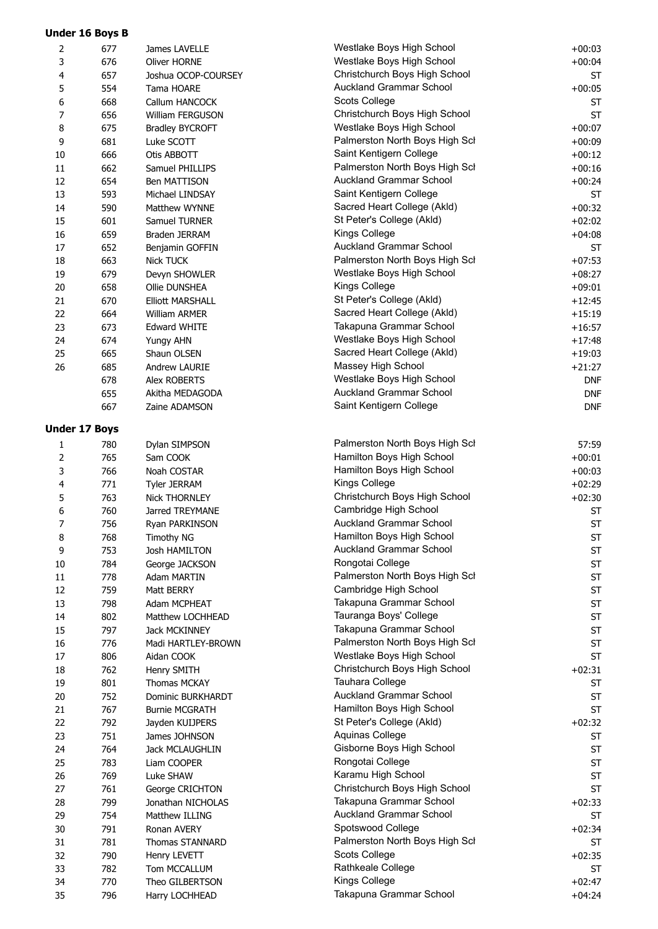|          | <b>Under 16 Boys B</b> |                                      |                                               |                       |
|----------|------------------------|--------------------------------------|-----------------------------------------------|-----------------------|
| 2        | 677                    | James LAVELLE                        | Westlake Boys High School                     | $+00:03$              |
| 3        | 676                    | Oliver HORNE                         | Westlake Boys High School                     | $+00:04$              |
| 4        | 657                    | Joshua OCOP-COURSEY                  | Christchurch Boys High School                 | <b>ST</b>             |
| 5        | 554                    | Tama HOARE                           | <b>Auckland Grammar School</b>                | $+00:05$              |
| 6        | 668                    | Callum HANCOCK                       | Scots College                                 | <b>ST</b>             |
| 7        | 656                    | William FERGUSON                     | Christchurch Boys High School                 | <b>ST</b>             |
| 8        | 675                    | <b>Bradley BYCROFT</b>               | Westlake Boys High School                     | $+00:07$              |
| 9        | 681                    | Luke SCOTT                           | Palmerston North Boys High Scl                | $+00:09$              |
| 10       | 666                    | Otis ABBOTT                          | Saint Kentigern College                       | $+00:12$              |
| 11       | 662                    | Samuel PHILLIPS                      | Palmerston North Boys High Scl                | $+00:16$              |
| 12       | 654                    | Ben MATTISON                         | <b>Auckland Grammar School</b>                | $+00:24$              |
| 13       | 593                    | Michael LINDSAY                      | Saint Kentigern College                       | <b>ST</b>             |
| 14       | 590                    | Matthew WYNNE                        | Sacred Heart College (Akld)                   | $+00:32$              |
| 15       | 601                    | Samuel TURNER                        | St Peter's College (Akld)<br>Kings College    | $+02:02$              |
| 16       | 659                    | Braden JERRAM                        | <b>Auckland Grammar School</b>                | $+04:08$              |
| 17       | 652<br>663             | Benjamin GOFFIN<br><b>Nick TUCK</b>  | Palmerston North Boys High Scl                | <b>ST</b><br>$+07:53$ |
| 18<br>19 | 679                    | Devyn SHOWLER                        | Westlake Boys High School                     | $+08:27$              |
| 20       | 658                    | Ollie DUNSHEA                        | Kings College                                 | $+09:01$              |
| 21       | 670                    | <b>Elliott MARSHALL</b>              | St Peter's College (Akld)                     | $+12:45$              |
| 22       | 664                    | William ARMER                        | Sacred Heart College (Akld)                   | $+15:19$              |
| 23       | 673                    | Edward WHITE                         | Takapuna Grammar School                       | $+16:57$              |
| 24       | 674                    | Yungy AHN                            | Westlake Boys High School                     | $+17:48$              |
| 25       | 665                    | Shaun OLSEN                          | Sacred Heart College (Akld)                   | $+19:03$              |
| 26       | 685                    | Andrew LAURIE                        | Massey High School                            | $+21:27$              |
|          | 678                    | Alex ROBERTS                         | Westlake Boys High School                     | <b>DNF</b>            |
|          | 655                    | Akitha MEDAGODA                      | Auckland Grammar School                       | <b>DNF</b>            |
|          | 667                    | Zaine ADAMSON                        | Saint Kentigern College                       | <b>DNF</b>            |
|          | <b>Under 17 Boys</b>   |                                      |                                               |                       |
|          |                        |                                      | Palmerston North Boys High Scl                | 57:59                 |
| 1<br>2   | 780<br>765             | Dylan SIMPSON<br>Sam COOK            | Hamilton Boys High School                     | $+00:01$              |
| 3        | 766                    | Noah COSTAR                          | Hamilton Boys High School                     | $+00:03$              |
| 4        | 771                    | Tyler JERRAM                         | Kings College                                 | $+02:29$              |
| 5        | 763                    | <b>Nick THORNLEY</b>                 | Christchurch Boys High School                 | $+02:30$              |
| 6        | 760                    | Jarred TREYMANE                      | Cambridge High School                         | <b>ST</b>             |
| $\prime$ | 756                    | Ryan PARKINSON                       | Auckland Grammar School                       | <b>ST</b>             |
| 8        | 768                    | <b>Timothy NG</b>                    | Hamilton Boys High School                     | <b>ST</b>             |
| 9        | 753                    | Josh HAMILTON                        | <b>Auckland Grammar School</b>                | <b>ST</b>             |
| 10       | 784                    | George JACKSON                       | Rongotai College                              | <b>ST</b>             |
| $11\,$   | 778                    | Adam MARTIN                          | Palmerston North Boys High Scl                | ST                    |
| 12       | 759                    | Matt BERRY                           | Cambridge High School                         | ST                    |
| 13       | 798                    | Adam MCPHEAT                         | Takapuna Grammar School                       | <b>ST</b>             |
| 14       | 802                    | Matthew LOCHHEAD                     | Tauranga Boys' College                        | <b>ST</b>             |
| 15       | 797                    | Jack MCKINNEY                        | Takapuna Grammar School                       | <b>ST</b>             |
| 16       | 776                    | Madi HARTLEY-BROWN                   | Palmerston North Boys High Scl                | <b>ST</b>             |
| 17       | 806                    | Aidan COOK                           | Westlake Boys High School                     | <b>ST</b>             |
| 18       | 762                    | Henry SMITH                          | Christchurch Boys High School                 | $+02:31$              |
| 19       | 801                    | Thomas MCKAY                         | Tauhara College                               | <b>ST</b>             |
| 20       | 752                    | Dominic BURKHARDT                    | Auckland Grammar School                       | <b>ST</b>             |
| 21       | 767                    | <b>Burnie MCGRATH</b>                | Hamilton Boys High School                     | <b>ST</b>             |
| 22       | 792                    | Jayden KUIJPERS                      | St Peter's College (Akld)                     | $+02:32$              |
| 23       | 751                    | James JOHNSON                        | Aquinas College                               | <b>ST</b>             |
| 24       | 764                    | Jack MCLAUGHLIN                      | Gisborne Boys High School<br>Rongotai College | <b>ST</b>             |
| 25       | 783                    | Liam COOPER                          | Karamu High School                            | <b>ST</b>             |
| 26       | 769                    | Luke SHAW                            | Christchurch Boys High School                 | <b>ST</b>             |
| 27<br>28 | 761<br>799             | George CRICHTON<br>Jonathan NICHOLAS | Takapuna Grammar School                       | <b>ST</b><br>$+02:33$ |
| 29       | 754                    | Matthew ILLING                       | <b>Auckland Grammar School</b>                | <b>ST</b>             |
| 30       | 791                    | Ronan AVERY                          | Spotswood College                             | $+02:34$              |
| 31       | 781                    | Thomas STANNARD                      | Palmerston North Boys High Scl                | <b>ST</b>             |
| 32       | 790                    | Henry LEVETT                         | Scots College                                 | $+02:35$              |
| 33       | 782                    | Tom MCCALLUM                         | Rathkeale College                             | <b>ST</b>             |
| 34       | 770                    | Theo GILBERTSON                      | Kings College                                 | $+02:47$              |
| 35       | 796                    | Harry LOCHHEAD                       | Takapuna Grammar School                       | $+04:24$              |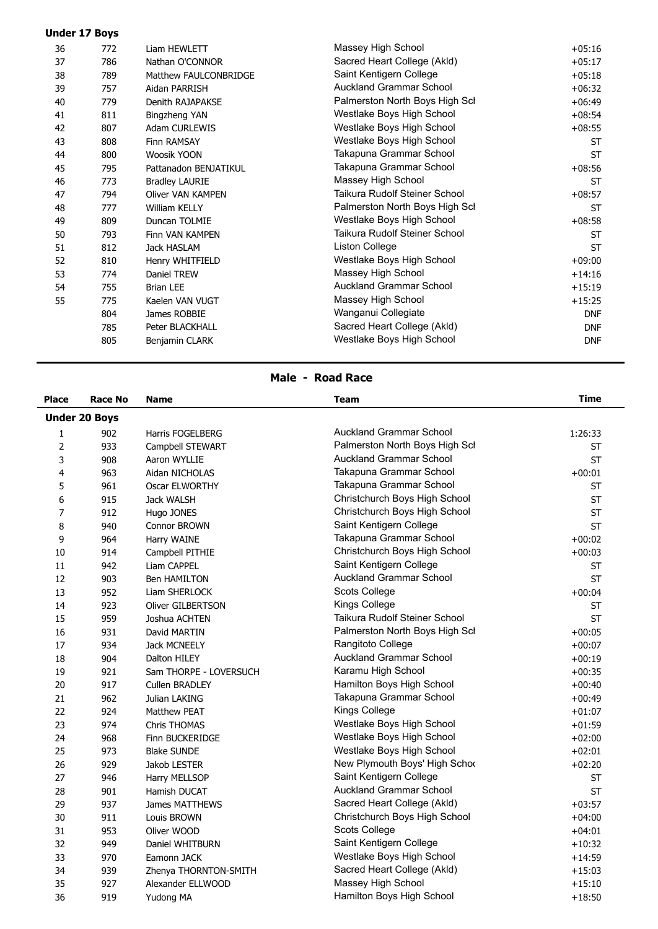|    | <b>Under 17 Boys</b> |                       |                                |            |
|----|----------------------|-----------------------|--------------------------------|------------|
| 36 | 772                  | Liam HEWLETT          | Massey High School             | $+05:16$   |
| 37 | 786                  | Nathan O'CONNOR       | Sacred Heart College (Akid)    | $+05:17$   |
| 38 | 789                  | Matthew FAULCONBRIDGE | Saint Kentigern College        | $+05:18$   |
| 39 | 757                  | Aidan PARRISH         | <b>Auckland Grammar School</b> | $+06:32$   |
| 40 | 779                  | Denith RAJAPAKSE      | Palmerston North Boys High Scl | $+06:49$   |
| 41 | 811                  | Bingzheng YAN         | Westlake Boys High School      | $+08:54$   |
| 42 | 807                  | Adam CURLEWIS         | Westlake Boys High School      | $+08:55$   |
| 43 | 808                  | Finn RAMSAY           | Westlake Boys High School      | <b>ST</b>  |
| 44 | 800                  | Woosik YOON           | Takapuna Grammar School        | <b>ST</b>  |
| 45 | 795                  | Pattanadon BENJATIKUL | Takapuna Grammar School        | $+08:56$   |
| 46 | 773                  | <b>Bradley LAURIE</b> | Massey High School             | <b>ST</b>  |
| 47 | 794                  | Oliver VAN KAMPEN     | Taikura Rudolf Steiner School  | $+08:57$   |
| 48 | 777                  | William KELLY         | Palmerston North Boys High Scl | <b>ST</b>  |
| 49 | 809                  | Duncan TOLMIE         | Westlake Boys High School      | $+08:58$   |
| 50 | 793                  | Finn VAN KAMPEN       | Taikura Rudolf Steiner School  | <b>ST</b>  |
| 51 | 812                  | Jack HASLAM           | Liston College                 | <b>ST</b>  |
| 52 | 810                  | Henry WHITFIELD       | Westlake Boys High School      | $+09:00$   |
| 53 | 774                  | Daniel TREW           | Massey High School             | $+14:16$   |
| 54 | 755                  | <b>Brian LEE</b>      | <b>Auckland Grammar School</b> | $+15:19$   |
| 55 | 775                  | Kaelen VAN VUGT       | Massey High School             | $+15:25$   |
|    | 804                  | James ROBBIE          | Wanganui Collegiate            | <b>DNF</b> |
|    | 785                  | Peter BLACKHALL       | Sacred Heart College (Akld)    | <b>DNF</b> |
|    | 805                  | Benjamin CLARK        | Westlake Boys High School      | <b>DNF</b> |
|    |                      |                       |                                |            |

# **Male - Road Race**

| <b>Place</b>   | <b>Race No</b>       | <b>Name</b>            | <b>Team</b>                    | <b>Time</b> |
|----------------|----------------------|------------------------|--------------------------------|-------------|
|                | <b>Under 20 Boys</b> |                        |                                |             |
| 1              | 902                  | Harris FOGELBERG       | <b>Auckland Grammar School</b> | 1:26:33     |
| $\overline{2}$ | 933                  | Campbell STEWART       | Palmerston North Boys High Scl | <b>ST</b>   |
| 3              | 908                  | Aaron WYLLIE           | <b>Auckland Grammar School</b> | <b>ST</b>   |
| 4              | 963                  | Aidan NICHOLAS         | Takapuna Grammar School        | $+00:01$    |
| 5              | 961                  | Oscar ELWORTHY         | Takapuna Grammar School        | <b>ST</b>   |
| 6              | 915                  | Jack WALSH             | Christchurch Boys High School  | <b>ST</b>   |
| 7              | 912                  | Hugo JONES             | Christchurch Boys High School  | <b>ST</b>   |
| 8              | 940                  | Connor BROWN           | Saint Kentigern College        | <b>ST</b>   |
| 9              | 964                  | Harry WAINE            | Takapuna Grammar School        | $+00:02$    |
| 10             | 914                  | Campbell PITHIE        | Christchurch Boys High School  | $+00:03$    |
| 11             | 942                  | Liam CAPPEL            | Saint Kentigern College        | ST          |
| 12             | 903                  | <b>Ben HAMILTON</b>    | <b>Auckland Grammar School</b> | <b>ST</b>   |
| 13             | 952                  | Liam SHERLOCK          | Scots College                  | $+00:04$    |
| 14             | 923                  | Oliver GILBERTSON      | Kings College                  | <b>ST</b>   |
| 15             | 959                  | Joshua ACHTEN          | Taikura Rudolf Steiner School  | <b>ST</b>   |
| 16             | 931                  | David MARTIN           | Palmerston North Boys High Sch | $+00:05$    |
| 17             | 934                  | <b>Jack MCNEELY</b>    | Rangitoto College              | $+00:07$    |
| 18             | 904                  | Dalton HILEY           | <b>Auckland Grammar School</b> | $+00:19$    |
| 19             | 921                  | Sam THORPE - LOVERSUCH | Karamu High School             | $+00:35$    |
| 20             | 917                  | Cullen BRADLEY         | Hamilton Boys High School      | $+00:40$    |
| 21             | 962                  | Julian LAKING          | Takapuna Grammar School        | $+00:49$    |
| 22             | 924                  | <b>Matthew PEAT</b>    | Kings College                  | $+01:07$    |
| 23             | 974                  | Chris THOMAS           | Westlake Boys High School      | $+01:59$    |
| 24             | 968                  | Finn BUCKERIDGE        | Westlake Boys High School      | $+02:00$    |
| 25             | 973                  | <b>Blake SUNDE</b>     | Westlake Boys High School      | $+02:01$    |
| 26             | 929                  | Jakob LESTER           | New Plymouth Boys' High Schod  | $+02:20$    |
| 27             | 946                  | Harry MELLSOP          | Saint Kentigern College        | <b>ST</b>   |
| 28             | 901                  | Hamish DUCAT           | <b>Auckland Grammar School</b> | <b>ST</b>   |
| 29             | 937                  | <b>James MATTHEWS</b>  | Sacred Heart College (Akld)    | $+03:57$    |
| 30             | 911                  | Louis BROWN            | Christchurch Boys High School  | $+04:00$    |
| 31             | 953                  | Oliver WOOD            | Scots College                  | $+04:01$    |
| 32             | 949                  | Daniel WHITBURN        | Saint Kentigern College        | $+10:32$    |
| 33             | 970                  | Eamonn JACK            | Westlake Boys High School      | $+14:59$    |
| 34             | 939                  | Zhenya THORNTON-SMITH  | Sacred Heart College (Akld)    | $+15:03$    |
| 35             | 927                  | Alexander ELLWOOD      | Massey High School             | $+15:10$    |
| 36             | 919                  | Yudong MA              | Hamilton Boys High School      | $+18:50$    |